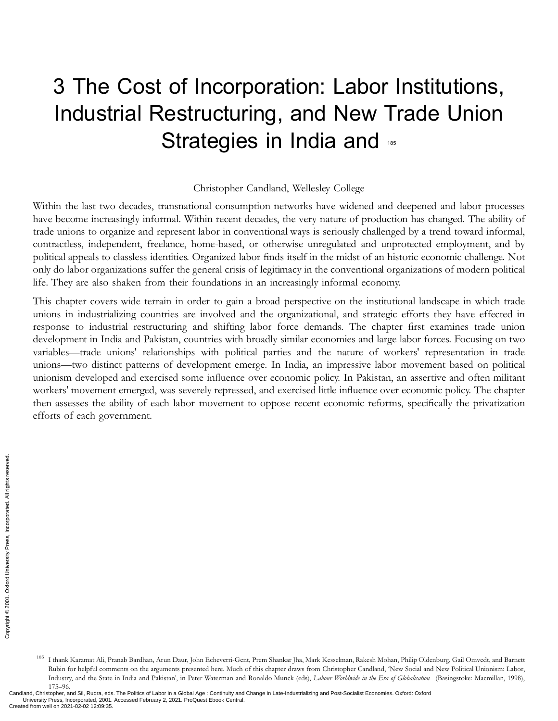# 3 The Cost of Incorporation: Labor Institutions, Industrial Restructuring, and New Trade Union Strategies in India and 485

#### Christopher Candland, Wellesley College

Within the last two decades, transnational consumption networks have widened and deepened and labor processes have become increasingly informal. Within recent decades, the very nature of production has changed. The ability of trade unions to organize and represent labor in conventional ways is seriously challenged by a trend toward informal, contractless, independent, freelance, home-based, or otherwise unregulated and unprotected employment, and by political appeals to classless identities. Organized labor finds itself in the midst of an historic economic challenge. Not only do labor organizations suffer the general crisis of legitimacy in the conventional organizations of modern political life. They are also shaken from their foundations in an increasingly informal economy.

This chapter covers wide terrain in order to gain a broad perspective on the institutional landscape in which trade unions in industrializing countries are involved and the organizational, and strategic efforts they have effected in response to industrial restructuring and shifting labor force demands. The chapter first examines trade union development in India and Pakistan, countries with broadly similar economies and large labor forces. Focusing on two variables—trade unions' relationships with political parties and the nature of workers' representation in trade unions—two distinct patterns of development emerge. In India, an impressive labor movement based on political unionism developed and exercised some influence over economic policy. In Pakistan, an assertive and often militant workers' movement emerged, was severely repressed, and exercised little influence over economic policy. The chapter then assesses the ability of each labor movement to oppose recent economic reforms, specifically the privatization efforts of each government.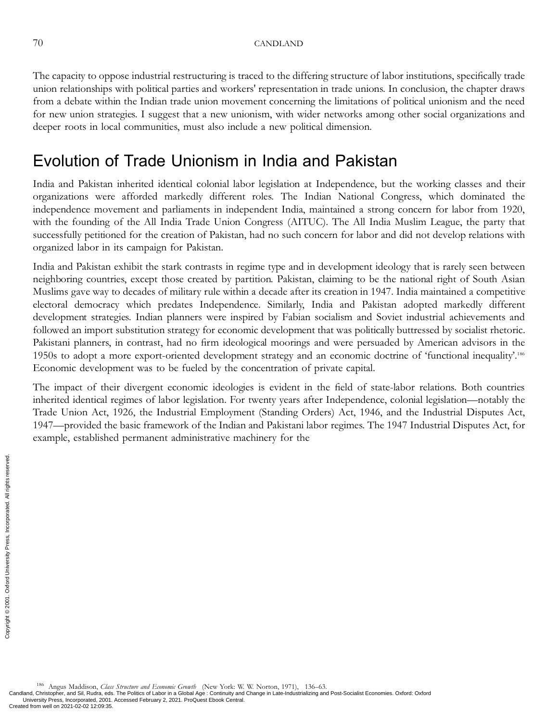The capacity to oppose industrial restructuring is traced to the differing structure of labor institutions, specifically trade union relationships with political parties and workers' representation in trade unions. In conclusion, the chapter draws from a debate within the Indian trade union movement concerning the limitations of political unionism and the need for new union strategies. I suggest that a new unionism, with wider networks among other social organizations and deeper roots in local communities, must also include a new political dimension.

## Evolution of Trade Unionism in India and Pakistan

India and Pakistan inherited identical colonial labor legislation at Independence, but the working classes and their organizations were afforded markedly different roles. The Indian National Congress, which dominated the independence movement and parliaments in independent India, maintained a strong concern for labor from 1920, with the founding of the All India Trade Union Congress (AITUC). The All India Muslim League, the party that successfully petitioned for the creation of Pakistan, had no such concern for labor and did not develop relations with organized labor in its campaign for Pakistan.

India and Pakistan exhibit the stark contrasts in regime type and in development ideology that is rarely seen between neighboring countries, except those created by partition. Pakistan, claiming to be the national right of South Asian Muslims gave way to decades of military rule within a decade after its creation in 1947. India maintained a competitive electoral democracy which predates Independence. Similarly, India and Pakistan adopted markedly different development strategies. Indian planners were inspired by Fabian socialism and Soviet industrial achievements and followed an import substitution strategy for economic development that was politically buttressed by socialist rhetoric. Pakistani planners, in contrast, had no firm ideological moorings and were persuaded by American advisors in the 1950s to adopt a more export-oriented development strategy and an economic doctrine of 'functional inequality'. 186 Economic development was to be fueled by the concentration of private capital.

The impact of their divergent economic ideologies is evident in the field of state-labor relations. Both countries inherited identical regimes of labor legislation. For twenty years after Independence, colonial legislation—notably the Trade Union Act, 1926, the Industrial Employment (Standing Orders) Act, 1946, and the Industrial Disputes Act, 1947—provided the basic framework of the Indian and Pakistani labor regimes. The 1947 Industrial Disputes Act, for example, established permanent administrative machinery for the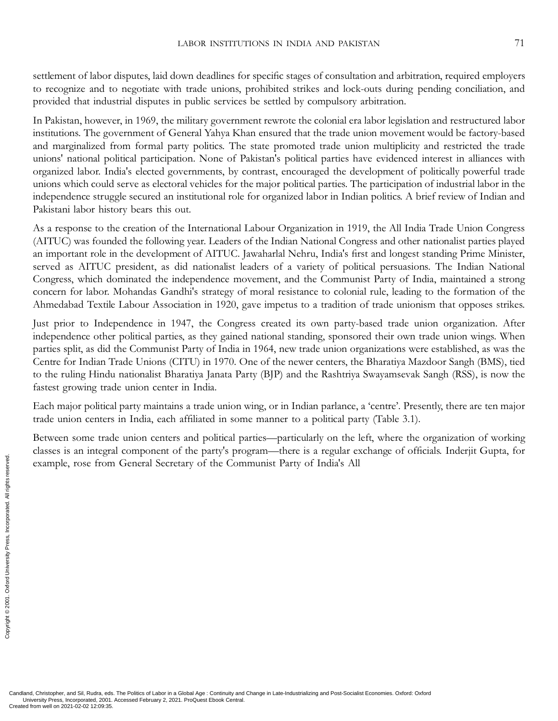settlement of labor disputes, laid down deadlines for specific stages of consultation and arbitration, required employers to recognize and to negotiate with trade unions, prohibited strikes and lock-outs during pending conciliation, and provided that industrial disputes in public services be settled by compulsory arbitration.

In Pakistan, however, in 1969, the military government rewrote the colonial era labor legislation and restructured labor institutions. The government of General Yahya Khan ensured that the trade union movement would be factory-based and marginalized from formal party politics. The state promoted trade union multiplicity and restricted the trade unions' national political participation. None of Pakistan's political parties have evidenced interest in alliances with organized labor. India's elected governments, by contrast, encouraged the development of politically powerful trade unions which could serve as electoral vehicles for the major political parties. The participation of industrial labor in the independence struggle secured an institutional role for organized labor in Indian politics. A brief review of Indian and Pakistani labor history bears this out.

As a response to the creation of the International Labour Organization in 1919, the All India Trade Union Congress (AITUC) was founded the following year. Leaders of the Indian National Congress and other nationalist parties played an important role in the development of AITUC. Jawaharlal Nehru, India's first and longest standing Prime Minister, served as AITUC president, as did nationalist leaders of a variety of political persuasions. The Indian National Congress, which dominated the independence movement, and the Communist Party of India, maintained a strong concern for labor. Mohandas Gandhi's strategy of moral resistance to colonial rule, leading to the formation of the Ahmedabad Textile Labour Association in 1920, gave impetus to a tradition of trade unionism that opposes strikes.

Just prior to Independence in 1947, the Congress created its own party-based trade union organization. After independence other political parties, as they gained national standing, sponsored their own trade union wings. When parties split, as did the Communist Party of India in 1964, new trade union organizations were established, as was the Centre for Indian Trade Unions (CITU) in 1970. One of the newer centers, the Bharatiya Mazdoor Sangh (BMS), tied to the ruling Hindu nationalist Bharatiya Janata Party (BJP) and the Rashtriya Swayamsevak Sangh (RSS), is now the fastest growing trade union center in India.

Each major political party maintains a trade union wing, or in Indian parlance, a 'centre'. Presently, there are ten major trade union centers in India, each affiliated in some manner to a political party (Table 3.1).

Between some trade union centers and political parties—particularly on the left, where the organization of working classes is an integral component of the party's program—there is a regular exchange of officials. Inderjit Gupta, for example, rose from General Secretary of the Communist Party of India's All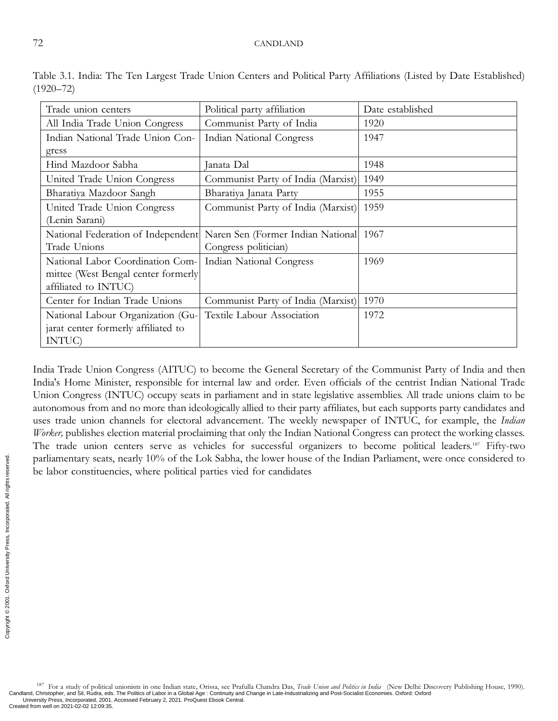| Trade union centers                 | Political party affiliation        | Date established |
|-------------------------------------|------------------------------------|------------------|
| All India Trade Union Congress      | Communist Party of India           | 1920             |
| Indian National Trade Union Con-    | Indian National Congress           | 1947             |
| gress                               |                                    |                  |
| Hind Mazdoor Sabha                  | Janata Dal                         | 1948             |
| United Trade Union Congress         | Communist Party of India (Marxist) | 1949             |
| Bharatiya Mazdoor Sangh             | Bharatiya Janata Party             | 1955             |
| United Trade Union Congress         | Communist Party of India (Marxist) | 1959             |
| (Lenin Sarani)                      |                                    |                  |
| National Federation of Independent  | Naren Sen (Former Indian National  | -1967            |
| Trade Unions                        | Congress politician)               |                  |
| National Labor Coordination Com-    | Indian National Congress           | 1969             |
| mittee (West Bengal center formerly |                                    |                  |
| affiliated to INTUC)                |                                    |                  |
| Center for Indian Trade Unions      | Communist Party of India (Marxist) | 1970             |
| National Labour Organization (Gu-   | Textile Labour Association         | 1972             |
| jarat center formerly affiliated to |                                    |                  |
| <b>INTUC</b>                        |                                    |                  |

Table 3.1. India: The Ten Largest Trade Union Centers and Political Party Affiliations (Listed by Date Established) (1920–72)

India Trade Union Congress (AITUC) to become the General Secretary of the Communist Party of India and then India's Home Minister, responsible for internal law and order. Even officials of the centrist Indian National Trade Union Congress (INTUC) occupy seats in parliament and in state legislative assemblies. All trade unions claim to be autonomous from and no more than ideologically allied to their party affiliates, but each supports party candidates and uses trade union channels for electoral advancement. The weekly newspaper of INTUC, for example, the *Indian Worker,* publishes election material proclaiming that only the Indian National Congress can protect the working classes. The trade union centers serve as vehicles for successful organizers to become political leaders.187 Fifty-two parliamentary seats, nearly 10% of the Lok Sabha, the lower house of the Indian Parliament, were once considered to be labor constituencies, where political parties vied for candidates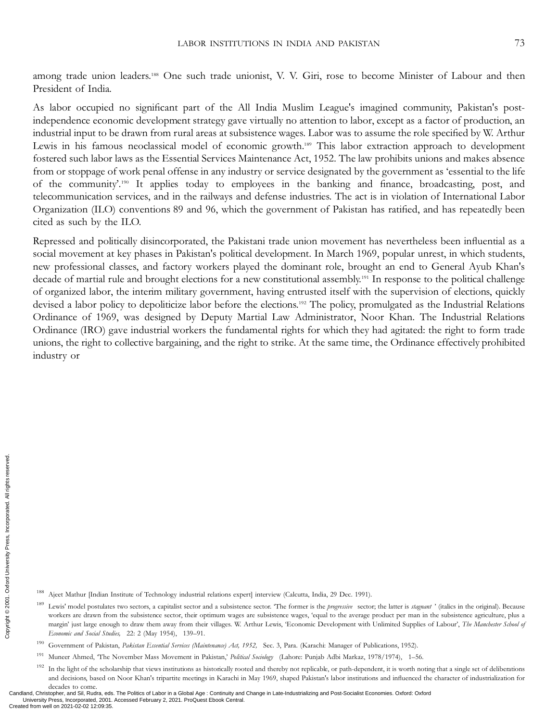among trade union leaders.188 One such trade unionist, V. V. Giri, rose to become Minister of Labour and then President of India.

As labor occupied no significant part of the All India Muslim League's imagined community, Pakistan's postindependence economic development strategy gave virtually no attention to labor, except as a factor of production, an industrial input to be drawn from rural areas at subsistence wages. Labor was to assume the role specified by W. Arthur Lewis in his famous neoclassical model of economic growth.<sup>189</sup> This labor extraction approach to development fostered such labor laws as the Essential Services Maintenance Act, 1952. The law prohibits unions and makes absence from or stoppage of work penal offense in any industry or service designated by the government as 'essential to the life of the community'. <sup>190</sup> It applies today to employees in the banking and finance, broadcasting, post, and telecommunication services, and in the railways and defense industries. The act is in violation of International Labor Organization (ILO) conventions 89 and 96, which the government of Pakistan has ratified, and has repeatedly been cited as such by the ILO.

Repressed and politically disincorporated, the Pakistani trade union movement has nevertheless been influential as a social movement at key phases in Pakistan's political development. In March 1969, popular unrest, in which students, new professional classes, and factory workers played the dominant role, brought an end to General Ayub Khan's decade of martial rule and brought elections for a new constitutional assembly.191 In response to the political challenge of organized labor, the interim military government, having entrusted itself with the supervision of elections, quickly devised a labor policy to depoliticize labor before the elections.<sup>192</sup> The policy, promulgated as the Industrial Relations Ordinance of 1969, was designed by Deputy Martial Law Administrator, Noor Khan. The Industrial Relations Ordinance (IRO) gave industrial workers the fundamental rights for which they had agitated: the right to form trade unions, the right to collective bargaining, and the right to strike. At the same time, the Ordinance effectively prohibited industry or

<sup>188</sup> Ajeet Mathur [Indian Institute of Technology industrial relations expert] interview (Calcutta, India, 29 Dec. 1991).

<sup>189</sup> Lewis' model postulates two sectors, a capitalist sector and a subsistence sector. 'The former is the *progressive* sector; the latter is *stagnant* ' (italics in the original). Because workers are drawn from the subsistence sector, their optimum wages are subsistence wages, 'equal to the average product per man in the subsistence agriculture, plus a margin' just large enough to draw them away from their villages. W. Arthur Lewis, 'Economic Development with Unlimited Supplies of Labour', *The Manchester School of Economic and Social Studies,* 22: 2 (May 1954), 139–91. Created from well on 2021-02-02 12:09:35. Copyright © 2001. Oxford University Press, Incorporated. All rights reserved.

<sup>190</sup> Government of Pakistan, *Pakistan Essential Services (Maintenance) Act, 1952,* Sec. 3, Para. (Karachi: Manager of Publications, 1952).

<sup>191</sup> Muneer Ahmed, 'The November Mass Movement in Pakistan,' *Political Sociology* (Lahore: Punjab Adbi Markaz, 1978/1974), 1–56.

<sup>&</sup>lt;sup>192</sup> In the light of the scholarship that views institutions as historically rooted and thereby not replicable, or path-dependent, it is worth noting that a single set of deliberations and decisions, based on Noor Khan's tripartite meetings in Karachi in May 1969, shaped Pakistan's labor institutions and influenced the character of industrialization for decades to come.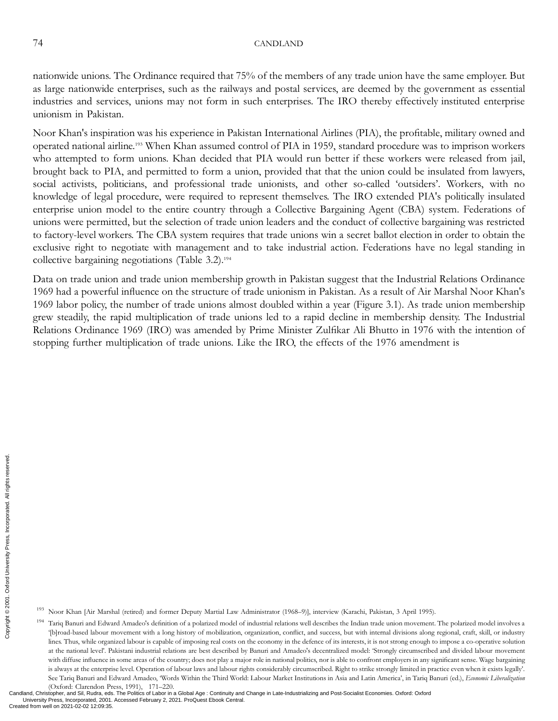nationwide unions. The Ordinance required that 75% of the members of any trade union have the same employer. But as large nationwide enterprises, such as the railways and postal services, are deemed by the government as essential industries and services, unions may not form in such enterprises. The IRO thereby effectively instituted enterprise unionism in Pakistan.

Noor Khan's inspiration was his experience in Pakistan International Airlines (PIA), the profitable, military owned and operated national airline.193 When Khan assumed control of PIA in 1959, standard procedure was to imprison workers who attempted to form unions. Khan decided that PIA would run better if these workers were released from jail, brought back to PIA, and permitted to form a union, provided that that the union could be insulated from lawyers, social activists, politicians, and professional trade unionists, and other so-called 'outsiders'. Workers, with no knowledge of legal procedure, were required to represent themselves. The IRO extended PIA's politically insulated enterprise union model to the entire country through a Collective Bargaining Agent (CBA) system. Federations of unions were permitted, but the selection of trade union leaders and the conduct of collective bargaining was restricted to factory-level workers. The CBA system requires that trade unions win a secret ballot election in order to obtain the exclusive right to negotiate with management and to take industrial action. Federations have no legal standing in collective bargaining negotiations (Table 3.2).194

Data on trade union and trade union membership growth in Pakistan suggest that the Industrial Relations Ordinance 1969 had a powerful influence on the structure of trade unionism in Pakistan. As a result of Air Marshal Noor Khan's 1969 labor policy, the number of trade unions almost doubled within a year (Figure 3.1). As trade union membership grew steadily, the rapid multiplication of trade unions led to a rapid decline in membership density. The Industrial Relations Ordinance 1969 (IRO) was amended by Prime Minister Zulfikar Ali Bhutto in 1976 with the intention of stopping further multiplication of trade unions. Like the IRO, the effects of the 1976 amendment is

<sup>193</sup> Noor Khan [Air Marshal (retired) and former Deputy Martial Law Administrator (1968–9)], interview (Karachi, Pakistan, 3 April 1995).

<sup>&</sup>lt;sup>194</sup> Tariq Banuri and Edward Amadeo's definition of a polarized model of industrial relations well describes the Indian trade union movement. The polarized model involves a '[b]road-based labour movement with a long history of mobilization, organization, conflict, and success, but with internal divisions along regional, craft, skill, or industry lines. Thus, while organized labour is capable of imposing real costs on the economy in the defence of its interests, it is not strong enough to impose a co-operative solution at the national level'. Pakistani industrial relations are best described by Banuri and Amadeo's decentralized model: 'Strongly circumscribed and divided labour movement with diffuse influence in some areas of the country; does not play a major role in national politics, nor is able to confront employers in any significant sense. Wage bargaining is always at the enterprise level. Operation of labour laws and labour rights considerably circumscribed. Right to strike strongly limited in practice even when it exists legally'. See Tariq Banuri and Edward Amadeo, 'Words Within the Third World: Labour Market Institutions in Asia and Latin America', in Tariq Banuri (ed.), *Economic Liberalization* (Oxford: Clarendon Press, 1991), 171–220. The created from well on 2021-02-02-02-12:09:35.<br>Created from well on 2021-02-02 12:09:35. Copyright Created from well on 2021-02-02 12:09:35.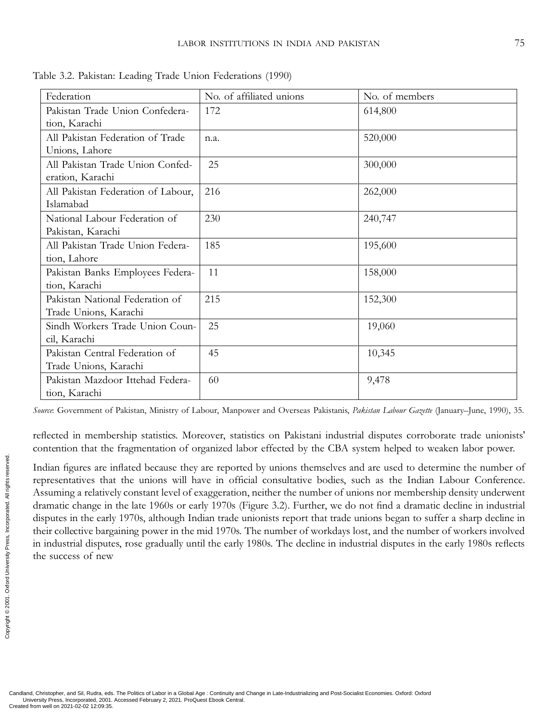| Federation                                               | No. of affiliated unions | No. of members |
|----------------------------------------------------------|--------------------------|----------------|
| Pakistan Trade Union Confedera-<br>tion, Karachi         | 172                      | 614,800        |
| All Pakistan Federation of Trade<br>Unions, Lahore       | n.a.                     | 520,000        |
| All Pakistan Trade Union Confed-<br>eration, Karachi     | 25                       | 300,000        |
| All Pakistan Federation of Labour,<br>Islamabad          | 216                      | 262,000        |
| National Labour Federation of<br>Pakistan, Karachi       | 230                      | 240,747        |
| All Pakistan Trade Union Federa-<br>tion, Lahore         | 185                      | 195,600        |
| Pakistan Banks Employees Federa-<br>tion, Karachi        | 11                       | 158,000        |
| Pakistan National Federation of<br>Trade Unions, Karachi | 215                      | 152,300        |
| Sindh Workers Trade Union Coun-<br>cil, Karachi          | 25                       | 19,060         |
| Pakistan Central Federation of<br>Trade Unions, Karachi  | 45                       | 10,345         |
| Pakistan Mazdoor Ittehad Federa-<br>tion, Karachi        | 60                       | 9,478          |

Table 3.2. Pakistan: Leading Trade Union Federations (1990)

*Source*: Government of Pakistan, Ministry of Labour, Manpower and Overseas Pakistanis, *Pakistan Labour Gazette* (January–June, 1990), 35.

reflected in membership statistics. Moreover, statistics on Pakistani industrial disputes corroborate trade unionists' contention that the fragmentation of organized labor effected by the CBA system helped to weaken labor power.

Indian figures are inflated because they are reported by unions themselves and are used to determine the number of representatives that the unions will have in official consultative bodies, such as the Indian Labour Conference. Assuming a relatively constant level of exaggeration, neither the number of unions nor membership density underwent dramatic change in the late 1960s or early 1970s (Figure 3.2). Further, we do not find a dramatic decline in industrial disputes in the early 1970s, although Indian trade unionists report that trade unions began to suffer a sharp decline in their collective bargaining power in the mid 1970s. The number of workdays lost, and the number of workers involved in industrial disputes, rose gradually until the early 1980s. The decline in industrial disputes in the early 1980s reflects the success of new Examples are interpresentatives that<br>  $\frac{1}{2}$  Assuming a relative<br>
dramatic change in<br>
disputes in the early<br>
their collective barg<br>
in industrial dispute<br>
the success of new<br>  $\frac{2}{2}$ <br>  $\frac{2}{2}$ <br>  $\frac{2}{2}$ <br>  $\frac{2}{2}$ <br>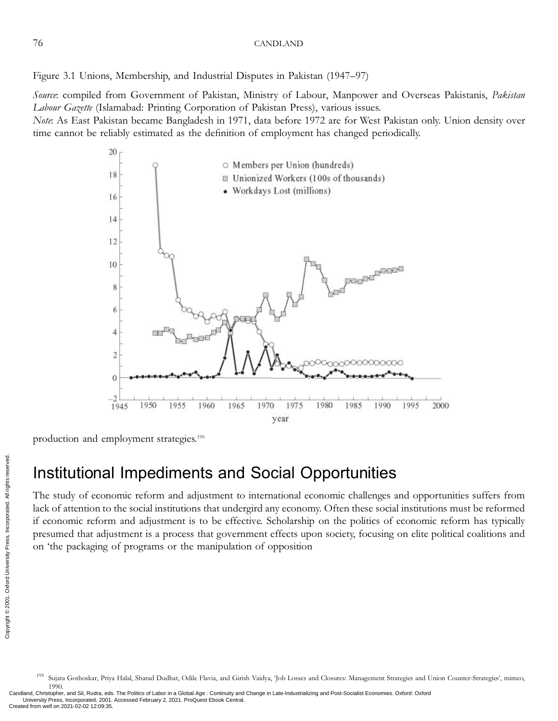Figure 3.1 Unions, Membership, and Industrial Disputes in Pakistan (1947–97)

*Source*: compiled from Government of Pakistan, Ministry of Labour, Manpower and Overseas Pakistanis, *Pakistan Labour Gazette* (Islamabad: Printing Corporation of Pakistan Press), various issues.

*Note*: As East Pakistan became Bangladesh in 1971, data before 1972 are for West Pakistan only. Union density over time cannot be reliably estimated as the definition of employment has changed periodically.



production and employment strategies.195

## Institutional Impediments and Social Opportunities

The study of economic reform and adjustment to international economic challenges and opportunities suffers from lack of attention to the social institutions that undergird any economy. Often these social institutions must be reformed if economic reform and adjustment is to be effective. Scholarship on the politics of economic reform has typically presumed that adjustment is a process that government effects upon society, focusing on elite political coalitions and on 'the packaging of programs or the manipulation of opposition Example 1195 Linux Candland, Christopher, and Sil, Rudra, eds<br>Created from well on 2021-02-02 12:09:35.<br>Copyright Created from well on 2021-02-02 12:09:35.<br>Created from well on 2021-02-02 12:09:35.

<sup>&</sup>lt;sup>195</sup> Sujata Gothoskar, Priya Halal, Sharad Dudhat, Odile Flavia, and Girish Vaidya, 'Job Losses and Closures: Management Strategies and Union Counter-Strategies', mimeo, 1990.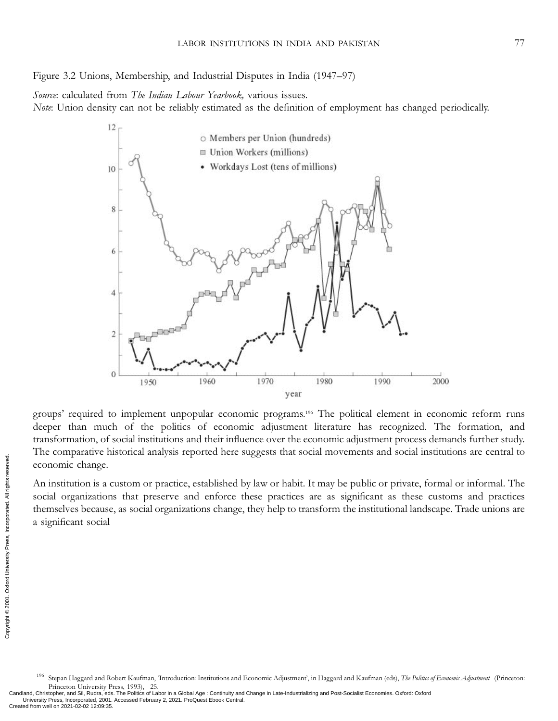Figure 3.2 Unions, Membership, and Industrial Disputes in India (1947–97)

*Source*: calculated from *The Indian Labour Yearbook,* various issues. *Note*: Union density can not be reliably estimated as the definition of employment has changed periodically.



groups' required to implement unpopular economic programs.196 The political element in economic reform runs deeper than much of the politics of economic adjustment literature has recognized. The formation, and transformation, of social institutions and their influence over the economic adjustment process demands further study. The comparative historical analysis reported here suggests that social movements and social institutions are central to economic change.

An institution is a custom or practice, established by law or habit. It may be public or private, formal or informal. The social organizations that preserve and enforce these practices are as significant as these customs and practices themselves because, as social organizations change, they help to transform the institutional landscape. Trade unions are a significant social Examples and the computative reserved.<br>
Examples and themselves because<br>
a significant social<br>
served a significant social<br>
served and the served incorporated. All rights respectively Press, Incorporated. All rights reser

<sup>196</sup> Stepan Haggard and Robert Kaufman, 'Introduction: Institutions and Economic Adjustment', in Haggard and Kaufman (eds), *The Politics of Economic Adjustment* (Princeton: Princeton University Press, 1993), 25.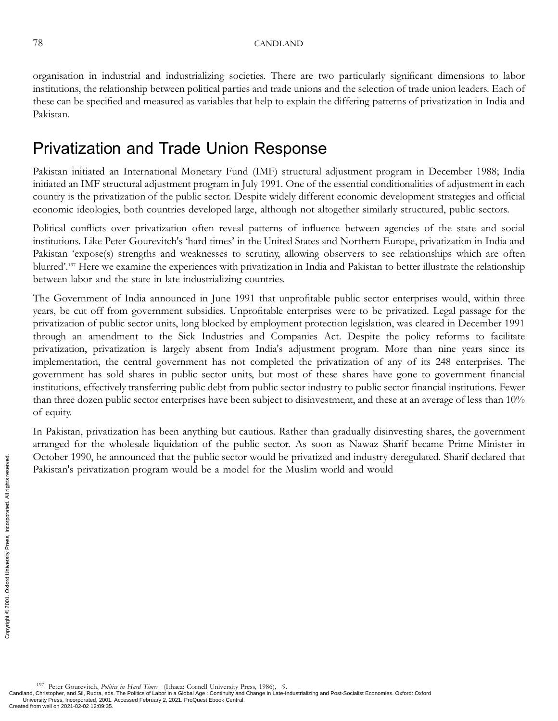organisation in industrial and industrializing societies. There are two particularly significant dimensions to labor institutions, the relationship between political parties and trade unions and the selection of trade union leaders. Each of these can be specified and measured as variables that help to explain the differing patterns of privatization in India and Pakistan.

### Privatization and Trade Union Response

Pakistan initiated an International Monetary Fund (IMF) structural adjustment program in December 1988; India initiated an IMF structural adjustment program in July 1991. One of the essential conditionalities of adjustment in each country is the privatization of the public sector. Despite widely different economic development strategies and official economic ideologies, both countries developed large, although not altogether similarly structured, public sectors.

Political conflicts over privatization often reveal patterns of influence between agencies of the state and social institutions. Like Peter Gourevitch's 'hard times' in the United States and Northern Europe, privatization in India and Pakistan 'expose(s) strengths and weaknesses to scrutiny, allowing observers to see relationships which are often blurred'. <sup>197</sup> Here we examine the experiences with privatization in India and Pakistan to better illustrate the relationship between labor and the state in late-industrializing countries.

The Government of India announced in June 1991 that unprofitable public sector enterprises would, within three years, be cut off from government subsidies. Unprofitable enterprises were to be privatized. Legal passage for the privatization of public sector units, long blocked by employment protection legislation, was cleared in December 1991 through an amendment to the Sick Industries and Companies Act. Despite the policy reforms to facilitate privatization, privatization is largely absent from India's adjustment program. More than nine years since its implementation, the central government has not completed the privatization of any of its 248 enterprises. The government has sold shares in public sector units, but most of these shares have gone to government financial institutions, effectively transferring public debt from public sector industry to public sector financial institutions. Fewer than three dozen public sector enterprises have been subject to disinvestment, and these at an average of less than 10% of equity.

In Pakistan, privatization has been anything but cautious. Rather than gradually disinvesting shares, the government arranged for the wholesale liquidation of the public sector. As soon as Nawaz Sharif became Prime Minister in October 1990, he announced that the public sector would be privatized and industry deregulated. Sharif declared that Pakistan's privatization program would be a model for the Muslim world and would Created from well on 2021-02-02-12:09:35.<br>Candland, Christopher, and Sil, Rudra, eds.<br>Copyright © 2001.<br>Candland, Christopher, and Sil, Rudra, eds.<br>Cented from well on 2021-02-02 12:09:35.

<sup>197</sup> Peter Gourevitch, *Politics in Hard Times* (Ithaca: Cornell University Press, 1986), 9.<br>Candland, Christopher, and Sil, Rudra, eds. The Politics of Labor in a Global Age : Continuity and Change in Late-Industrializin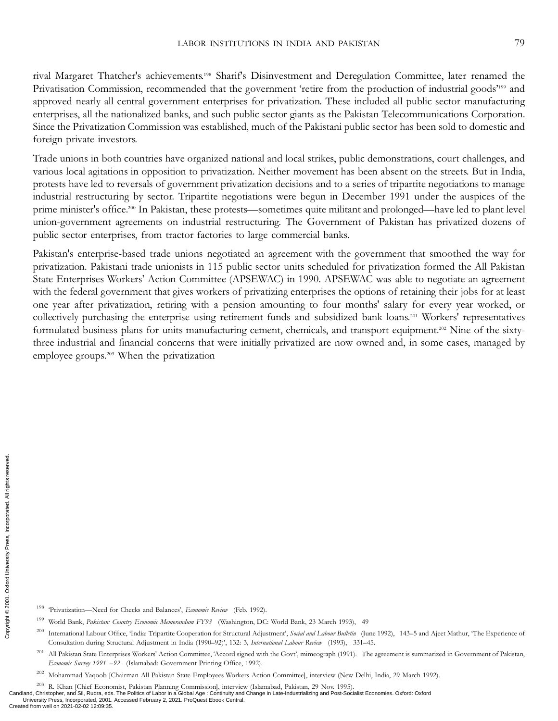rival Margaret Thatcher's achievements.198 Sharif's Disinvestment and Deregulation Committee, later renamed the Privatisation Commission, recommended that the government 'retire from the production of industrial goods'<sup>199</sup> and approved nearly all central government enterprises for privatization. These included all public sector manufacturing enterprises, all the nationalized banks, and such public sector giants as the Pakistan Telecommunications Corporation. Since the Privatization Commission was established, much of the Pakistani public sector has been sold to domestic and foreign private investors.

Trade unions in both countries have organized national and local strikes, public demonstrations, court challenges, and various local agitations in opposition to privatization. Neither movement has been absent on the streets. But in India, protests have led to reversals of government privatization decisions and to a series of tripartite negotiations to manage industrial restructuring by sector. Tripartite negotiations were begun in December 1991 under the auspices of the prime minister's office.<sup>200</sup> In Pakistan, these protests—sometimes quite militant and prolonged—have led to plant level union-government agreements on industrial restructuring. The Government of Pakistan has privatized dozens of public sector enterprises, from tractor factories to large commercial banks.

Pakistan's enterprise-based trade unions negotiated an agreement with the government that smoothed the way for privatization. Pakistani trade unionists in 115 public sector units scheduled for privatization formed the All Pakistan State Enterprises Workers' Action Committee (APSEWAC) in 1990. APSEWAC was able to negotiate an agreement with the federal government that gives workers of privatizing enterprises the options of retaining their jobs for at least one year after privatization, retiring with a pension amounting to four months' salary for every year worked, or collectively purchasing the enterprise using retirement funds and subsidized bank loans.201 Workers' representatives formulated business plans for units manufacturing cement, chemicals, and transport equipment.<sup>202</sup> Nine of the sixtythree industrial and financial concerns that were initially privatized are now owned and, in some cases, managed by employee groups.<sup>203</sup> When the privatization

<sup>198</sup> 'Privatization—Need for Checks and Balances', *Economic Review* (Feb. 1992).

<sup>203</sup> R. Khan [Chief Economist, Pakistan Planning Commission], interview (Islamabad, Pakistan, 29 Nov. 1995).

<sup>199</sup> World Bank, *Pakistan: Country Economic Memorandum FY93* (Washington, DC: World Bank, 23 March 1993), 49

<sup>200</sup> International Labour Office, 'India: Tripartite Cooperation for Structural Adjustment', *Social and Labour Bulletin* (June 1992), 143–5 and Ajeet Mathur, 'The Experience of Consultation during Structural Adjustment in India (1990–92)', 132: 3, *International Labour Review* (1993), 331–45.

<sup>&</sup>lt;sup>201</sup> All Pakistan State Enterprises Workers' Action Committee, 'Accord signed with the Govt', mimeograph (1991). The agreement is summarized in Government of Pakistan, *Economic Survey 1991* –*92* (Islamabad: Government Printing Office, 1992).

<sup>&</sup>lt;sup>202</sup> Mohammad Yaqoob [Chairman All Pakistan State Employees Workers Action Committee], interview (New Delhi, India, 29 March 1992).

Candland, Christopher, and Sil, Rudra, eds. The Politics of Labor in a Global Age : Continuity and Change in Late-Industrializing and Post-Socialist Economies. Oxford: Oxford<br>University Press, Incorporated, 2001. Accessed Created from well on 2021-02-02 12:09:35. Copyright © 2001. Oxford University Press, Incorporated. All rights reserved.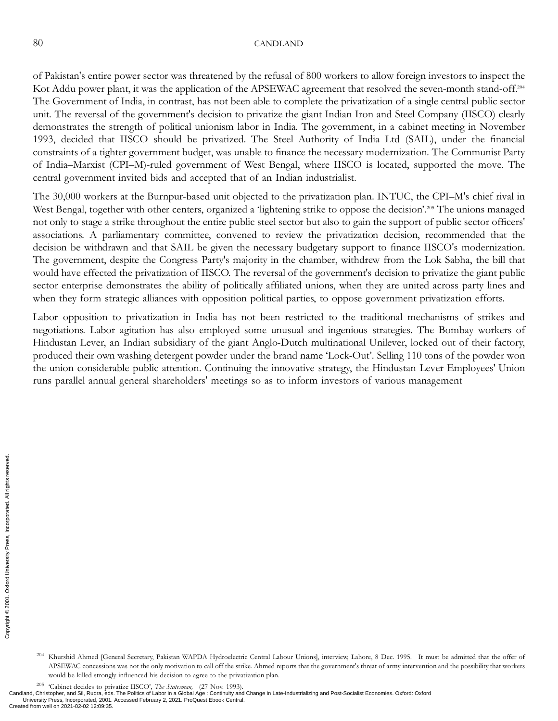of Pakistan's entire power sector was threatened by the refusal of 800 workers to allow foreign investors to inspect the Kot Addu power plant, it was the application of the APSEWAC agreement that resolved the seven-month stand-off.<sup>204</sup> The Government of India, in contrast, has not been able to complete the privatization of a single central public sector unit. The reversal of the government's decision to privatize the giant Indian Iron and Steel Company (IISCO) clearly demonstrates the strength of political unionism labor in India. The government, in a cabinet meeting in November 1993, decided that IISCO should be privatized. The Steel Authority of India Ltd (SAIL), under the financial constraints of a tighter government budget, was unable to finance the necessary modernization. The Communist Party of India–Marxist (CPI–M)-ruled government of West Bengal, where IISCO is located, supported the move. The central government invited bids and accepted that of an Indian industrialist.

The 30,000 workers at the Burnpur-based unit objected to the privatization plan. INTUC, the CPI–M's chief rival in West Bengal, together with other centers, organized a 'lightening strike to oppose the decision'.<sup>205</sup> The unions managed not only to stage a strike throughout the entire public steel sector but also to gain the support of public sector officers' associations. A parliamentary committee, convened to review the privatization decision, recommended that the decision be withdrawn and that SAIL be given the necessary budgetary support to finance IISCO's modernization. The government, despite the Congress Party's majority in the chamber, withdrew from the Lok Sabha, the bill that would have effected the privatization of IISCO. The reversal of the government's decision to privatize the giant public sector enterprise demonstrates the ability of politically affiliated unions, when they are united across party lines and when they form strategic alliances with opposition political parties, to oppose government privatization efforts.

Labor opposition to privatization in India has not been restricted to the traditional mechanisms of strikes and negotiations. Labor agitation has also employed some unusual and ingenious strategies. The Bombay workers of Hindustan Lever, an Indian subsidiary of the giant Anglo-Dutch multinational Unilever, locked out of their factory, produced their own washing detergent powder under the brand name 'Lock-Out'. Selling 110 tons of the powder won the union considerable public attention. Continuing the innovative strategy, the Hindustan Lever Employees' Union runs parallel annual general shareholders' meetings so as to inform investors of various management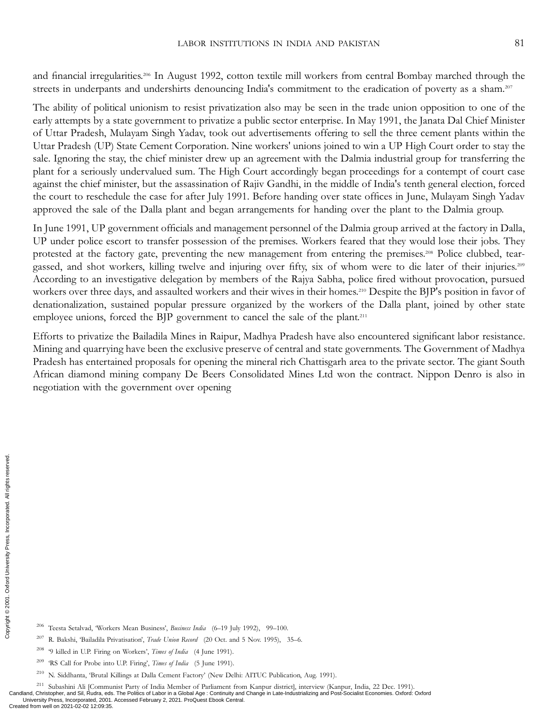and financial irregularities.206 In August 1992, cotton textile mill workers from central Bombay marched through the streets in underpants and undershirts denouncing India's commitment to the eradication of poverty as a sham.<sup>207</sup>

The ability of political unionism to resist privatization also may be seen in the trade union opposition to one of the early attempts by a state government to privatize a public sector enterprise. In May 1991, the Janata Dal Chief Minister of Uttar Pradesh, Mulayam Singh Yadav, took out advertisements offering to sell the three cement plants within the Uttar Pradesh (UP) State Cement Corporation. Nine workers' unions joined to win a UP High Court order to stay the sale. Ignoring the stay, the chief minister drew up an agreement with the Dalmia industrial group for transferring the plant for a seriously undervalued sum. The High Court accordingly began proceedings for a contempt of court case against the chief minister, but the assassination of Rajiv Gandhi, in the middle of India's tenth general election, forced the court to reschedule the case for after July 1991. Before handing over state offices in June, Mulayam Singh Yadav approved the sale of the Dalla plant and began arrangements for handing over the plant to the Dalmia group.

In June 1991, UP government officials and management personnel of the Dalmia group arrived at the factory in Dalla, UP under police escort to transfer possession of the premises. Workers feared that they would lose their jobs. They protested at the factory gate, preventing the new management from entering the premises.<sup>208</sup> Police clubbed, teargassed, and shot workers, killing twelve and injuring over fifty, six of whom were to die later of their injuries.209 According to an investigative delegation by members of the Rajya Sabha, police fired without provocation, pursued workers over three days, and assaulted workers and their wives in their homes.<sup>210</sup> Despite the BJP's position in favor of denationalization, sustained popular pressure organized by the workers of the Dalla plant, joined by other state employee unions, forced the BJP government to cancel the sale of the plant.<sup>211</sup>

Efforts to privatize the Bailadila Mines in Raipur, Madhya Pradesh have also encountered significant labor resistance. Mining and quarrying have been the exclusive preserve of central and state governments. The Government of Madhya Pradesh has entertained proposals for opening the mineral rich Chattisgarh area to the private sector. The giant South African diamond mining company De Beers Consolidated Mines Ltd won the contract. Nippon Denro is also in negotiation with the government over opening

<sup>207</sup> R. Bakshi, 'Bailadila Privatisation', *Trade Union Record* (20 Oct. and 5 Nov. 1995), 35–6.

<sup>208</sup> '9 killed in U.P. Firing on Workers', *Times of India* (4 June 1991).

<sup>209</sup> 'RS Call for Probe into U.P. Firing', *Times of India* (5 June 1991).

<sup>210</sup> N. Siddhanta, 'Brutal Killings at Dalla Cement Factory' (New Delhi: AITUC Publication, Aug. 1991).

<sup>211</sup> Subashini Ali [Communist Party of India Member of Parliament from Kanpur district], interview (Kanpur, India, 22 Dec. 1991). Candland, Christopher, and Sil, Rudra, eds. The Politics of Labor in a Global Age : Continuity and Change in Late-Industrializing and Post-Socialist Economies. Oxford: Oxford<br>University Press, Incorporated, 2001. Accessed The created from well on 2021-02-02-02-12:09:35.<br>Created from well on 2021-02-02 12:09:35.<br>Copyright © 2001. Oxford University Press, Incorporated. All rights reserved. All rights reserved. All rights reserved. All rights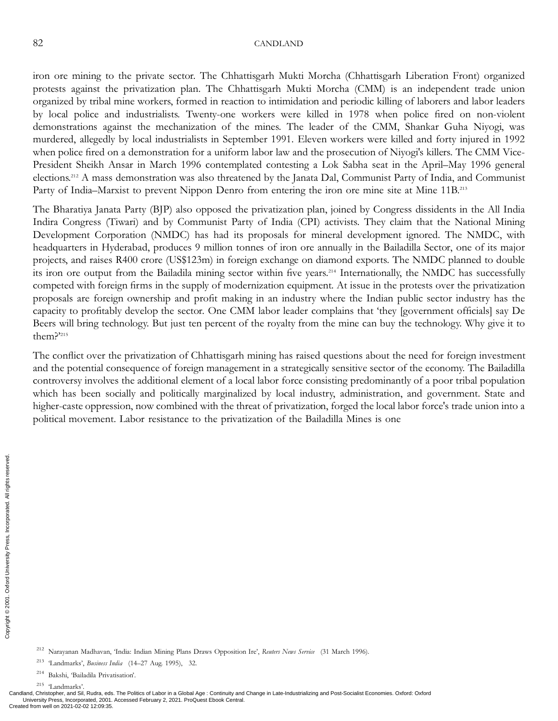iron ore mining to the private sector. The Chhattisgarh Mukti Morcha (Chhattisgarh Liberation Front) organized protests against the privatization plan. The Chhattisgarh Mukti Morcha (CMM) is an independent trade union organized by tribal mine workers, formed in reaction to intimidation and periodic killing of laborers and labor leaders by local police and industrialists. Twenty-one workers were killed in 1978 when police fired on non-violent demonstrations against the mechanization of the mines. The leader of the CMM, Shankar Guha Niyogi, was murdered, allegedly by local industrialists in September 1991. Eleven workers were killed and forty injured in 1992 when police fired on a demonstration for a uniform labor law and the prosecution of Niyogi's killers. The CMM Vice-President Sheikh Ansar in March 1996 contemplated contesting a Lok Sabha seat in the April–May 1996 general elections.212 A mass demonstration was also threatened by the Janata Dal, Communist Party of India, and Communist Party of India–Marxist to prevent Nippon Denro from entering the iron ore mine site at Mine 11B.<sup>213</sup>

The Bharatiya Janata Party (BJP) also opposed the privatization plan, joined by Congress dissidents in the All India Indira Congress (Tiwari) and by Communist Party of India (CPI) activists. They claim that the National Mining Development Corporation (NMDC) has had its proposals for mineral development ignored. The NMDC, with headquarters in Hyderabad, produces 9 million tonnes of iron ore annually in the Bailadilla Sector, one of its major projects, and raises R400 crore (US\$123m) in foreign exchange on diamond exports. The NMDC planned to double its iron ore output from the Bailadila mining sector within five years.<sup>214</sup> Internationally, the NMDC has successfully competed with foreign firms in the supply of modernization equipment. At issue in the protests over the privatization proposals are foreign ownership and profit making in an industry where the Indian public sector industry has the capacity to profitably develop the sector. One CMM labor leader complains that 'they [government officials] say De Beers will bring technology. But just ten percent of the royalty from the mine can buy the technology. Why give it to them?' 215

The conflict over the privatization of Chhattisgarh mining has raised questions about the need for foreign investment and the potential consequence of foreign management in a strategically sensitive sector of the economy. The Bailadilla controversy involves the additional element of a local labor force consisting predominantly of a poor tribal population which has been socially and politically marginalized by local industry, administration, and government. State and higher-caste oppression, now combined with the threat of privatization, forged the local labor force's trade union into a political movement. Labor resistance to the privatization of the Bailadilla Mines is one

<sup>212</sup> Narayanan Madhavan, 'India: Indian Mining Plans Draws Opposition Ire', *Reuters News Service* (31 March 1996).

<sup>213</sup> 'Landmarks', *Business India* (14–27 Aug. 1995), 32.

<sup>214</sup> Bakshi, 'Bailadila Privatisation'.

<sup>&</sup>lt;sup>215</sup> 'Landmarks'.<br>Candland, Christopher, and Sil, Rudra, eds. The Politics of Labor in a Global Age : Continuity and Change in Late-Industrializing and Post-Socialist Economies. Oxford: Oxford<br>University Press, Incorporat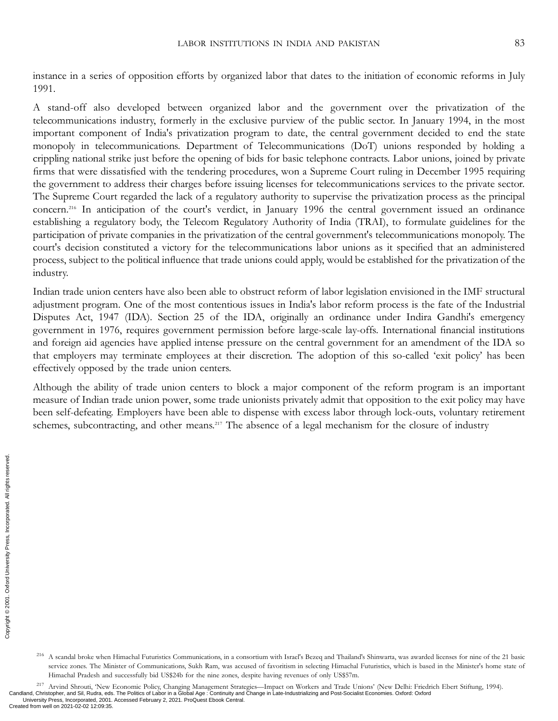instance in a series of opposition efforts by organized labor that dates to the initiation of economic reforms in July 1991.

A stand-off also developed between organized labor and the government over the privatization of the telecommunications industry, formerly in the exclusive purview of the public sector. In January 1994, in the most important component of India's privatization program to date, the central government decided to end the state monopoly in telecommunications. Department of Telecommunications (DoT) unions responded by holding a crippling national strike just before the opening of bids for basic telephone contracts. Labor unions, joined by private firms that were dissatisfied with the tendering procedures, won a Supreme Court ruling in December 1995 requiring the government to address their charges before issuing licenses for telecommunications services to the private sector. The Supreme Court regarded the lack of a regulatory authority to supervise the privatization process as the principal concern.216 In anticipation of the court's verdict, in January 1996 the central government issued an ordinance establishing a regulatory body, the Telecom Regulatory Authority of India (TRAI), to formulate guidelines for the participation of private companies in the privatization of the central government's telecommunications monopoly. The court's decision constituted a victory for the telecommunications labor unions as it specified that an administered process, subject to the political influence that trade unions could apply, would be established for the privatization of the industry.

Indian trade union centers have also been able to obstruct reform of labor legislation envisioned in the IMF structural adjustment program. One of the most contentious issues in India's labor reform process is the fate of the Industrial Disputes Act, 1947 (IDA). Section 25 of the IDA, originally an ordinance under Indira Gandhi's emergency government in 1976, requires government permission before large-scale lay-offs. International financial institutions and foreign aid agencies have applied intense pressure on the central government for an amendment of the IDA so that employers may terminate employees at their discretion. The adoption of this so-called 'exit policy' has been effectively opposed by the trade union centers.

Although the ability of trade union centers to block a major component of the reform program is an important measure of Indian trade union power, some trade unionists privately admit that opposition to the exit policy may have been self-defeating. Employers have been able to dispense with excess labor through lock-outs, voluntary retirement schemes, subcontracting, and other means.<sup>217</sup> The absence of a legal mechanism for the closure of industry

<sup>&</sup>lt;sup>216</sup> A scandal broke when Himachal Futuristics Communications, in a consortium with Israel's Bezeq and Thailand's Shinwarta, was awarded licenses for nine of the 21 basic service zones. The Minister of Communications, Sukh Ram, was accused of favoritism in selecting Himachal Futuristics, which is based in the Minister's home state of Himachal Pradesh and successfully bid US\$24b for the nine zones, despite having revenues of only US\$57m.

<sup>&</sup>lt;sup>217</sup> Arvind Shrouti, 'New Economic Policy, Changing Management Strategies—Impact on Workers and Trade Unions' (New Delhi: Friedrich Ebert Stiftung, 1994). Candland, Christopher, and Sil, Rudra, eds. The Politics of Labor in a Global Age : Continuity and Change in Late-Industrializing and Post-Socialist Economies. Oxford: Oxford<br>University Press, Incorporated, 2001. Accessed The set of the created from well on 2021-02-02-12:09:35.<br>Created from well on 2021-02-02 12:09:35. Copyright Created from well on 2021-02-02 12:09:35.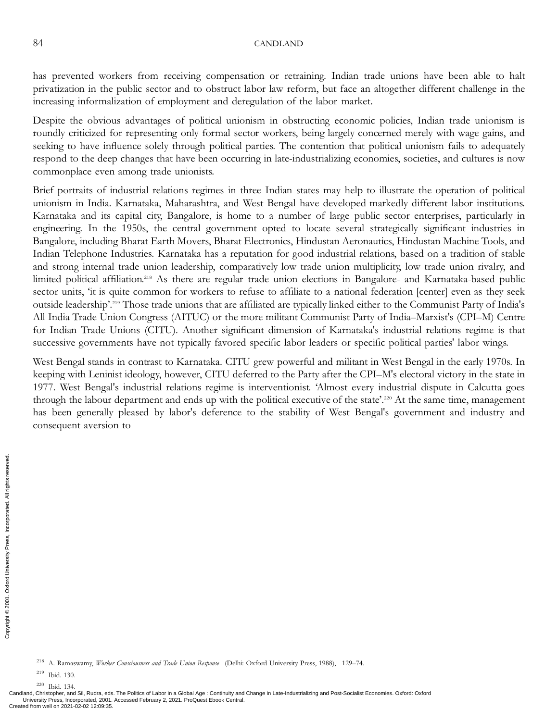has prevented workers from receiving compensation or retraining. Indian trade unions have been able to halt privatization in the public sector and to obstruct labor law reform, but face an altogether different challenge in the increasing informalization of employment and deregulation of the labor market.

Despite the obvious advantages of political unionism in obstructing economic policies, Indian trade unionism is roundly criticized for representing only formal sector workers, being largely concerned merely with wage gains, and seeking to have influence solely through political parties. The contention that political unionism fails to adequately respond to the deep changes that have been occurring in late-industrializing economies, societies, and cultures is now commonplace even among trade unionists.

Brief portraits of industrial relations regimes in three Indian states may help to illustrate the operation of political unionism in India. Karnataka, Maharashtra, and West Bengal have developed markedly different labor institutions. Karnataka and its capital city, Bangalore, is home to a number of large public sector enterprises, particularly in engineering. In the 1950s, the central government opted to locate several strategically significant industries in Bangalore, including Bharat Earth Movers, Bharat Electronics, Hindustan Aeronautics, Hindustan Machine Tools, and Indian Telephone Industries. Karnataka has a reputation for good industrial relations, based on a tradition of stable and strong internal trade union leadership, comparatively low trade union multiplicity, low trade union rivalry, and limited political affiliation.218 As there are regular trade union elections in Bangalore- and Karnataka-based public sector units, 'it is quite common for workers to refuse to affiliate to a national federation [center] even as they seek outside leadership'. <sup>219</sup> Those trade unions that are affiliated are typically linked either to the Communist Party of India's All India Trade Union Congress (AITUC) or the more militant Communist Party of India–Marxist's (CPI–M) Centre for Indian Trade Unions (CITU). Another significant dimension of Karnataka's industrial relations regime is that successive governments have not typically favored specific labor leaders or specific political parties' labor wings.

West Bengal stands in contrast to Karnataka. CITU grew powerful and militant in West Bengal in the early 1970s. In keeping with Leninist ideology, however, CITU deferred to the Party after the CPI–M's electoral victory in the state in 1977. West Bengal's industrial relations regime is interventionist. 'Almost every industrial dispute in Calcutta goes through the labour department and ends up with the political executive of the state'.<sup>220</sup> At the same time, management has been generally pleased by labor's deference to the stability of West Bengal's government and industry and consequent aversion to

<sup>219</sup> Ibid. 130.

 $220$  Ibid. 134.

Candland, Christopher, and Sil, Rudra, eds. The Politics of Labor in a Global Age : Continuity and Change in Late-Industrializing and Post-Socialist Economies. Oxford: Oxford<br>University Press, Incorporated, 2001. Accessed The creation of 2021-02-02<br>
Creation Creation Creation Creation Creation Creation Creation Creation Well on 2021-02-02 12:09:35.<br>
Candland, Christopher, and Sil, Rudra, eds.<br>
Created from well on 2021-02-02 12:09:35.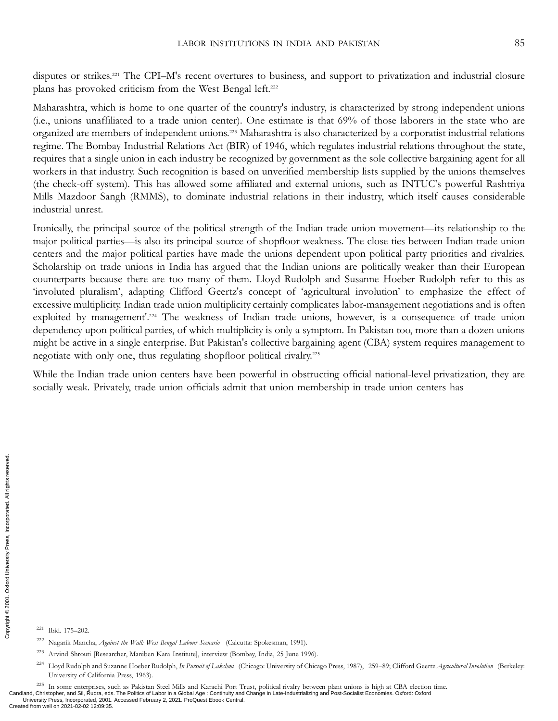disputes or strikes.<sup>221</sup> The CPI–M's recent overtures to business, and support to privatization and industrial closure plans has provoked criticism from the West Bengal left.<sup>222</sup>

Maharashtra, which is home to one quarter of the country's industry, is characterized by strong independent unions (i.e., unions unaffiliated to a trade union center). One estimate is that 69% of those laborers in the state who are organized are members of independent unions.223 Maharashtra is also characterized by a corporatist industrial relations regime. The Bombay Industrial Relations Act (BIR) of 1946, which regulates industrial relations throughout the state, requires that a single union in each industry be recognized by government as the sole collective bargaining agent for all workers in that industry. Such recognition is based on unverified membership lists supplied by the unions themselves (the check-off system). This has allowed some affiliated and external unions, such as INTUC's powerful Rashtriya Mills Mazdoor Sangh (RMMS), to dominate industrial relations in their industry, which itself causes considerable industrial unrest.

Ironically, the principal source of the political strength of the Indian trade union movement—its relationship to the major political parties—is also its principal source of shopfloor weakness. The close ties between Indian trade union centers and the major political parties have made the unions dependent upon political party priorities and rivalries. Scholarship on trade unions in India has argued that the Indian unions are politically weaker than their European counterparts because there are too many of them. Lloyd Rudolph and Susanne Hoeber Rudolph refer to this as 'involuted pluralism', adapting Clifford Geertz's concept of 'agricultural involution' to emphasize the effect of excessive multiplicity. Indian trade union multiplicity certainly complicates labor-management negotiations and is often exploited by management'.<sup>224</sup> The weakness of Indian trade unions, however, is a consequence of trade union dependency upon political parties, of which multiplicity is only a symptom. In Pakistan too, more than a dozen unions might be active in a single enterprise. But Pakistan's collective bargaining agent (CBA) system requires management to negotiate with only one, thus regulating shopfloor political rivalry.225

While the Indian trade union centers have been powerful in obstructing official national-level privatization, they are socially weak. Privately, trade union officials admit that union membership in trade union centers has

<sup>221</sup> Ibid. 175–202.

<sup>222</sup> Nagarik Mancha, *Against the Wall: West Bengal Labour Scenario* (Calcutta: Spokesman, 1991).

<sup>223</sup> Arvind Shrouti [Researcher, Maniben Kara Institute], interview (Bombay, India, 25 June 1996).

<sup>224</sup> Lloyd Rudolph and Suzanne Hoeber Rudolph, *In Pursuit of Lakshmi* (Chicago: University of Chicago Press, 1987), 259–89; Clifford Geertz *Agricultural Involution* (Berkeley: University of California Press, 1963).

<sup>&</sup>lt;sup>225</sup> In some enterprises, such as Pakistan Steel Mills and Karachi Port Trust, political rivalry between plant unions is high at CBA election time.<br>Candland, Christopher, and Sil, Rudra, eds. The Politics of Labor in a Gl The set of the set of the set of the set of the set of the set of the set of the set of the set of the set of the set of the set of the set of the set of the set of the set of the set of the set of the set of the set of t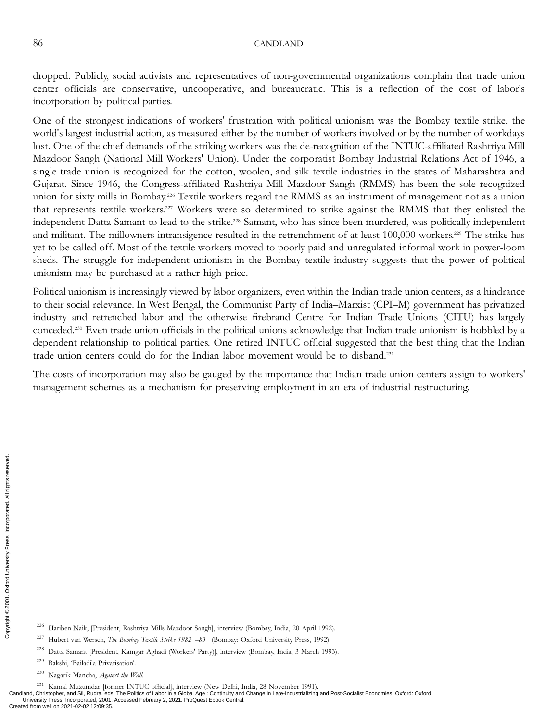dropped. Publicly, social activists and representatives of non-governmental organizations complain that trade union center officials are conservative, uncooperative, and bureaucratic. This is a reflection of the cost of labor's incorporation by political parties.

One of the strongest indications of workers' frustration with political unionism was the Bombay textile strike, the world's largest industrial action, as measured either by the number of workers involved or by the number of workdays lost. One of the chief demands of the striking workers was the de-recognition of the INTUC-affiliated Rashtriya Mill Mazdoor Sangh (National Mill Workers' Union). Under the corporatist Bombay Industrial Relations Act of 1946, a single trade union is recognized for the cotton, woolen, and silk textile industries in the states of Maharashtra and Gujarat. Since 1946, the Congress-affiliated Rashtriya Mill Mazdoor Sangh (RMMS) has been the sole recognized union for sixty mills in Bombay.<sup>226</sup> Textile workers regard the RMMS as an instrument of management not as a union that represents textile workers.227 Workers were so determined to strike against the RMMS that they enlisted the independent Datta Samant to lead to the strike.228 Samant, who has since been murdered, was politically independent and militant. The millowners intransigence resulted in the retrenchment of at least 100,000 workers.<sup>229</sup> The strike has yet to be called off. Most of the textile workers moved to poorly paid and unregulated informal work in power-loom sheds. The struggle for independent unionism in the Bombay textile industry suggests that the power of political unionism may be purchased at a rather high price.

Political unionism is increasingly viewed by labor organizers, even within the Indian trade union centers, as a hindrance to their social relevance. In West Bengal, the Communist Party of India–Marxist (CPI–M) government has privatized industry and retrenched labor and the otherwise firebrand Centre for Indian Trade Unions (CITU) has largely conceded.230 Even trade union officials in the political unions acknowledge that Indian trade unionism is hobbled by a dependent relationship to political parties. One retired INTUC official suggested that the best thing that the Indian trade union centers could do for the Indian labor movement would be to disband.231

The costs of incorporation may also be gauged by the importance that Indian trade union centers assign to workers' management schemes as a mechanism for preserving employment in an era of industrial restructuring.

<sup>230</sup> Nagarik Mancha, *Against the Wall.*

<sup>226</sup> Hariben Naik, [President, Rashtriya Mills Mazdoor Sangh], interview (Bombay, India, 20 April 1992).

<sup>227</sup> Hubert van Wersch, *The Bombay Textile Strike 1982* –*83* (Bombay: Oxford University Press, 1992).

<sup>228</sup> Datta Samant [President, Kamgar Aghadi (Workers' Party)], interview (Bombay, India, 3 March 1993).

<sup>229</sup> Bakshi, 'Bailadila Privatisation'.

<sup>231</sup> Kamal Muzumdar [former INTUC official], interview (New Delhi, India, 28 November 1991). Candland, Christopher, and Sil, Rudra, eds. The Politics of Labor in a Global Age : Continuity and Change in Late-Industrializing and Post-Socialist Economies. Oxford: Oxford<br>University Press, Incorporated, 2001. Accessed The set of the set of the set of the set of the set of the set of the set of the set of the set of the set of the candidate Press, Incorporated from well on 2021-02-02 12:09:35. Coptaked from well on 2021-02-02 12:09:35.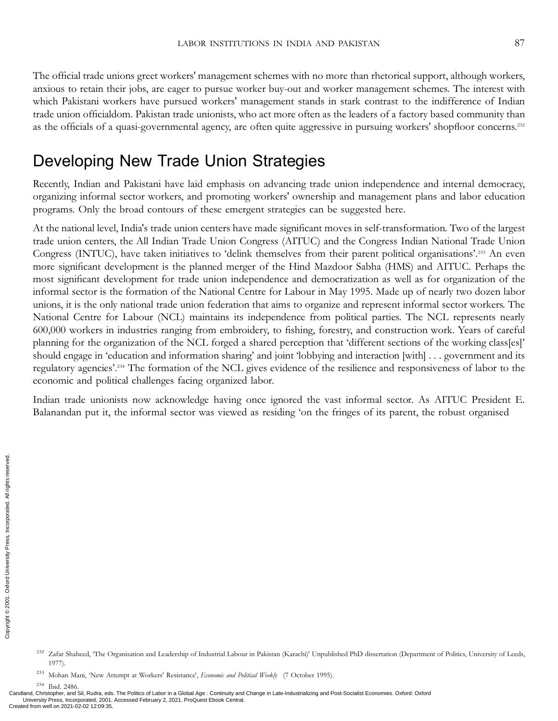The official trade unions greet workers' management schemes with no more than rhetorical support, although workers, anxious to retain their jobs, are eager to pursue worker buy-out and worker management schemes. The interest with which Pakistani workers have pursued workers' management stands in stark contrast to the indifference of Indian trade union officialdom. Pakistan trade unionists, who act more often as the leaders of a factory based community than as the officials of a quasi-governmental agency, are often quite aggressive in pursuing workers' shopfloor concerns.<sup>232</sup>

## Developing New Trade Union Strategies

Recently, Indian and Pakistani have laid emphasis on advancing trade union independence and internal democracy, organizing informal sector workers, and promoting workers' ownership and management plans and labor education programs. Only the broad contours of these emergent strategies can be suggested here.

At the national level, India's trade union centers have made significant moves in self-transformation. Two of the largest trade union centers, the All Indian Trade Union Congress (AITUC) and the Congress Indian National Trade Union Congress (INTUC), have taken initiatives to 'delink themselves from their parent political organisations'.<sup>233</sup> An even more significant development is the planned merger of the Hind Mazdoor Sabha (HMS) and AITUC. Perhaps the most significant development for trade union independence and democratization as well as for organization of the informal sector is the formation of the National Centre for Labour in May 1995. Made up of nearly two dozen labor unions, it is the only national trade union federation that aims to organize and represent informal sector workers. The National Centre for Labour (NCL) maintains its independence from political parties. The NCL represents nearly 600,000 workers in industries ranging from embroidery, to fishing, forestry, and construction work. Years of careful planning for the organization of the NCL forged a shared perception that 'different sections of the working class[es]' should engage in 'education and information sharing' and joint 'lobbying and interaction [with] . . . government and its regulatory agencies'. <sup>234</sup> The formation of the NCL gives evidence of the resilience and responsiveness of labor to the economic and political challenges facing organized labor.

Indian trade unionists now acknowledge having once ignored the vast informal sector. As AITUC President E. Balanandan put it, the informal sector was viewed as residing 'on the fringes of its parent, the robust organised

<sup>234</sup> Ibid. 2486.

<sup>&</sup>lt;sup>232</sup> Zafar Shaheed, 'The Organisation and Leadership of Industrial Labour in Pakistan (Karachi)' Unpublished PhD dissertation (Department of Politics, University of Leeds, 1977).

<sup>233</sup> Mohan Mani, 'New Attempt at Workers' Resistance', *Economic and Political Weekly* (7 October 1995).

Candland, Christopher, and Sil, Rudra, eds. The Politics of Labor in a Global Age : Continuity and Change in Late-Industrializing and Post-Socialist Economies. Oxford: Oxford<br>University Press, Incorporated, 2001. Accessed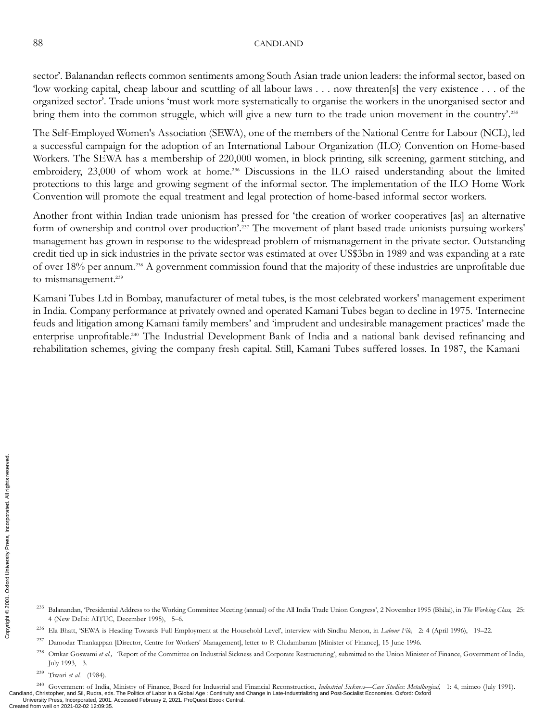sector'. Balanandan reflects common sentiments among South Asian trade union leaders: the informal sector, based on 'low working capital, cheap labour and scuttling of all labour laws . . . now threaten[s] the very existence . . . of the organized sector'. Trade unions 'must work more systematically to organise the workers in the unorganised sector and bring them into the common struggle, which will give a new turn to the trade union movement in the country'.<sup>235</sup>

The Self-Employed Women's Association (SEWA), one of the members of the National Centre for Labour (NCL), led a successful campaign for the adoption of an International Labour Organization (ILO) Convention on Home-based Workers. The SEWA has a membership of 220,000 women, in block printing, silk screening, garment stitching, and embroidery, 23,000 of whom work at home.<sup>236</sup> Discussions in the ILO raised understanding about the limited protections to this large and growing segment of the informal sector. The implementation of the ILO Home Work Convention will promote the equal treatment and legal protection of home-based informal sector workers.

Another front within Indian trade unionism has pressed for 'the creation of worker cooperatives [as] an alternative form of ownership and control over production'. <sup>237</sup> The movement of plant based trade unionists pursuing workers' management has grown in response to the widespread problem of mismanagement in the private sector. Outstanding credit tied up in sick industries in the private sector was estimated at over US\$3bn in 1989 and was expanding at a rate of over 18% per annum.238 A government commission found that the majority of these industries are unprofitable due to mismanagement.<sup>239</sup>

Kamani Tubes Ltd in Bombay, manufacturer of metal tubes, is the most celebrated workers' management experiment in India. Company performance at privately owned and operated Kamani Tubes began to decline in 1975. 'Internecine feuds and litigation among Kamani family members' and 'imprudent and undesirable management practices' made the enterprise unprofitable.240 The Industrial Development Bank of India and a national bank devised refinancing and rehabilitation schemes, giving the company fresh capital. Still, Kamani Tubes suffered losses. In 1987, the Kamani

<sup>235</sup> Balanandan, 'Presidential Address to the Working Committee Meeting (annual) of the All India Trade Union Congress', 2 November 1995 (Bhilai), in *The Working Class,* 25: 4 (New Delhi: AITUC, December 1995), 5–6.

<sup>236</sup> Ela Bhatt, 'SEWA is Heading Towards Full Employment at the Household Level', interview with Sindhu Menon, in *Labour File,* 2: 4 (April 1996), 19–22.

<sup>237</sup> Damodar Thankappan [Director, Centre for Workers' Management], letter to P. Chidambaram [Minister of Finance], 15 June 1996.

<sup>238</sup> Omkar Goswami et al., 'Report of the Committee on Industrial Sickness and Corporate Restructuring', submitted to the Union Minister of Finance, Government of India, July 1993, 3.

<sup>239</sup> Tiwari *et al.* (1984).

<sup>240</sup> Government of India, Ministry of Finance, Board for Industrial and Financial Reconstruction, *Industrial Sickness—Case Studies: Metallurgical*, 1: 4, mimeo (July 1991).<br>Candland, Christopher, and Sil, Rudra, eds. The The created from well on 2021-02-02-02-12:09:35.<br>Created from well on 2021-02-02 12:09:35.<br>Copyright © 235. Balanandan, 'Presidenti<br><sup>235</sup>. Ela Bhatt, 'SEWA is H<br><sup>235</sup>. Damodar Thankappan<br><sup>238</sup>. Omkar Goswami *et al.*<br>Univ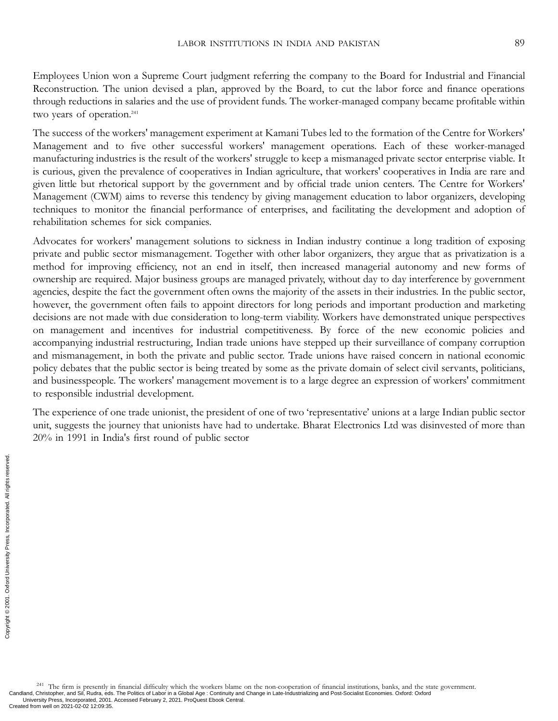Employees Union won a Supreme Court judgment referring the company to the Board for Industrial and Financial Reconstruction. The union devised a plan, approved by the Board, to cut the labor force and finance operations through reductions in salaries and the use of provident funds. The worker-managed company became profitable within two years of operation.<sup>241</sup>

The success of the workers' management experiment at Kamani Tubes led to the formation of the Centre for Workers' Management and to five other successful workers' management operations. Each of these worker-managed manufacturing industries is the result of the workers' struggle to keep a mismanaged private sector enterprise viable. It is curious, given the prevalence of cooperatives in Indian agriculture, that workers' cooperatives in India are rare and given little but rhetorical support by the government and by official trade union centers. The Centre for Workers' Management (CWM) aims to reverse this tendency by giving management education to labor organizers, developing techniques to monitor the financial performance of enterprises, and facilitating the development and adoption of rehabilitation schemes for sick companies.

Advocates for workers' management solutions to sickness in Indian industry continue a long tradition of exposing private and public sector mismanagement. Together with other labor organizers, they argue that as privatization is a method for improving efficiency, not an end in itself, then increased managerial autonomy and new forms of ownership are required. Major business groups are managed privately, without day to day interference by government agencies, despite the fact the government often owns the majority of the assets in their industries. In the public sector, however, the government often fails to appoint directors for long periods and important production and marketing decisions are not made with due consideration to long-term viability. Workers have demonstrated unique perspectives on management and incentives for industrial competitiveness. By force of the new economic policies and accompanying industrial restructuring, Indian trade unions have stepped up their surveillance of company corruption and mismanagement, in both the private and public sector. Trade unions have raised concern in national economic policy debates that the public sector is being treated by some as the private domain of select civil servants, politicians, and businesspeople. The workers' management movement is to a large degree an expression of workers' commitment to responsible industrial development.

The experience of one trade unionist, the president of one of two 'representative' unions at a large Indian public sector unit, suggests the journey that unionists have had to undertake. Bharat Electronics Ltd was disinvested of more than 20% in 1991 in India's first round of public sector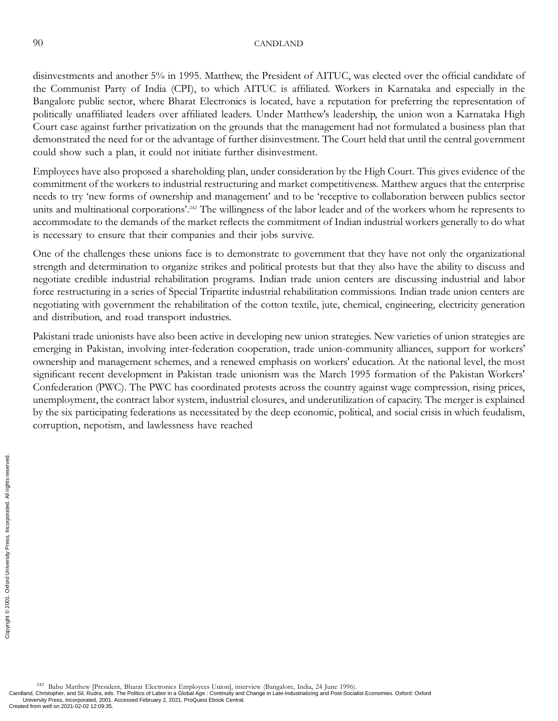disinvestments and another 5% in 1995. Matthew, the President of AITUC, was elected over the official candidate of the Communist Party of India (CPI), to which AITUC is affiliated. Workers in Karnataka and especially in the Bangalore public sector, where Bharat Electronics is located, have a reputation for preferring the representation of politically unaffiliated leaders over affiliated leaders. Under Matthew's leadership, the union won a Karnataka High Court case against further privatization on the grounds that the management had not formulated a business plan that demonstrated the need for or the advantage of further disinvestment. The Court held that until the central government could show such a plan, it could not initiate further disinvestment.

Employees have also proposed a shareholding plan, under consideration by the High Court. This gives evidence of the commitment of the workers to industrial restructuring and market competitiveness. Matthew argues that the enterprise needs to try 'new forms of ownership and management' and to be 'receptive to collaboration between publics sector units and multinational corporations'.<sup>242</sup> The willingness of the labor leader and of the workers whom he represents to accommodate to the demands of the market reflects the commitment of Indian industrial workers generally to do what is necessary to ensure that their companies and their jobs survive.

One of the challenges these unions face is to demonstrate to government that they have not only the organizational strength and determination to organize strikes and political protests but that they also have the ability to discuss and negotiate credible industrial rehabilitation programs. Indian trade union centers are discussing industrial and labor force restructuring in a series of Special Tripartite industrial rehabilitation commissions. Indian trade union centers are negotiating with government the rehabilitation of the cotton textile, jute, chemical, engineering, electricity generation and distribution, and road transport industries.

Pakistani trade unionists have also been active in developing new union strategies. New varieties of union strategies are emerging in Pakistan, involving inter-federation cooperation, trade union-community alliances, support for workers' ownership and management schemes, and a renewed emphasis on workers' education. At the national level, the most significant recent development in Pakistan trade unionism was the March 1995 formation of the Pakistan Workers' Confederation (PWC). The PWC has coordinated protests across the country against wage compression, rising prices, unemployment, the contract labor system, industrial closures, and underutilization of capacity. The merger is explained by the six participating federations as necessitated by the deep economic, political, and social crisis in which feudalism, corruption, nepotism, and lawlessness have reached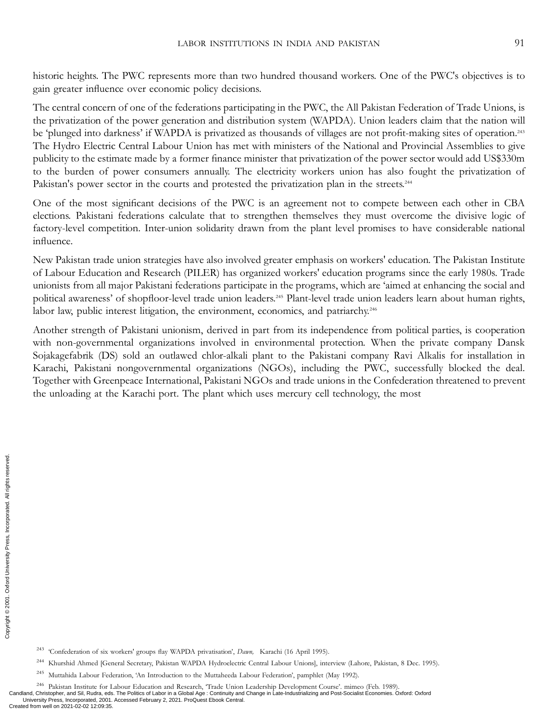historic heights. The PWC represents more than two hundred thousand workers. One of the PWC's objectives is to gain greater influence over economic policy decisions.

The central concern of one of the federations participating in the PWC, the All Pakistan Federation of Trade Unions, is the privatization of the power generation and distribution system (WAPDA). Union leaders claim that the nation will be 'plunged into darkness' if WAPDA is privatized as thousands of villages are not profit-making sites of operation.<sup>243</sup> The Hydro Electric Central Labour Union has met with ministers of the National and Provincial Assemblies to give publicity to the estimate made by a former finance minister that privatization of the power sector would add US\$330m to the burden of power consumers annually. The electricity workers union has also fought the privatization of Pakistan's power sector in the courts and protested the privatization plan in the streets.<sup>244</sup>

One of the most significant decisions of the PWC is an agreement not to compete between each other in CBA elections. Pakistani federations calculate that to strengthen themselves they must overcome the divisive logic of factory-level competition. Inter-union solidarity drawn from the plant level promises to have considerable national influence.

New Pakistan trade union strategies have also involved greater emphasis on workers' education. The Pakistan Institute of Labour Education and Research (PILER) has organized workers' education programs since the early 1980s. Trade unionists from all major Pakistani federations participate in the programs, which are 'aimed at enhancing the social and political awareness' of shopfloor-level trade union leaders.<sup>245</sup> Plant-level trade union leaders learn about human rights, labor law, public interest litigation, the environment, economics, and patriarchy.<sup>246</sup>

Another strength of Pakistani unionism, derived in part from its independence from political parties, is cooperation with non-governmental organizations involved in environmental protection. When the private company Dansk Sojakagefabrik (DS) sold an outlawed chlor-alkali plant to the Pakistani company Ravi Alkalis for installation in Karachi, Pakistani nongovernmental organizations (NGOs), including the PWC, successfully blocked the deal. Together with Greenpeace International, Pakistani NGOs and trade unions in the Confederation threatened to prevent the unloading at the Karachi port. The plant which uses mercury cell technology, the most

<sup>243</sup> 'Confederation of six workers' groups flay WAPDA privatisation', *Dawn,* Karachi (16 April 1995).

<sup>&</sup>lt;sup>244</sup> Khurshid Ahmed [General Secretary, Pakistan WAPDA Hydroelectric Central Labour Unions], interview (Lahore, Pakistan, 8 Dec. 1995).

<sup>&</sup>lt;sup>245</sup> Muttahida Labour Federation, 'An Introduction to the Muttaheeda Labour Federation', pamphlet (May 1992)

<sup>&</sup>lt;sup>246</sup> Pakistan Institute for Labour Education and Research, 'Trade Union Leadership Development Course'. mimeo (Feb. 1989).<br>Candland, Christopher, and Sil, Rudra, eds. The Politics of Labor in a Global Age : Continuity and The set of the created from well on 2021-02-02-021:09:35.<br>Created from well on 2021-02-02 12:09:35. Confederation of six v<br>Candland, Christopher, and Sil, Rudra, eds.<br>Created from well on 2021-02-02 12:09:35.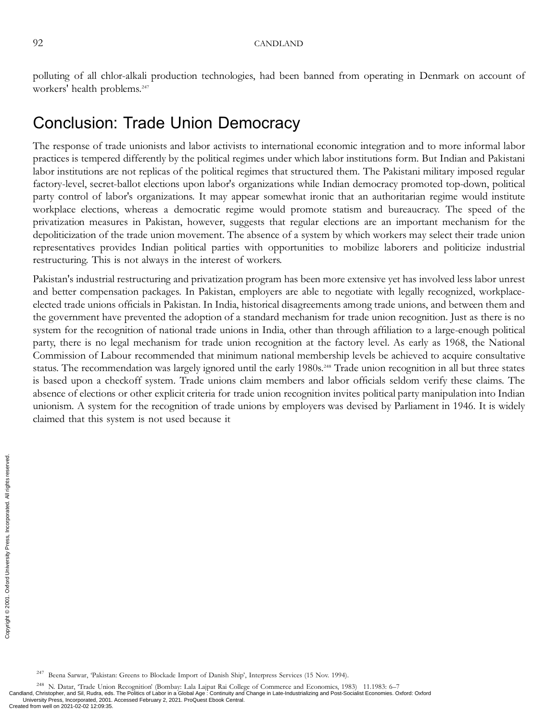polluting of all chlor-alkali production technologies, had been banned from operating in Denmark on account of workers' health problems.<sup>247</sup>

### Conclusion: Trade Union Democracy

The response of trade unionists and labor activists to international economic integration and to more informal labor practices is tempered differently by the political regimes under which labor institutions form. But Indian and Pakistani labor institutions are not replicas of the political regimes that structured them. The Pakistani military imposed regular factory-level, secret-ballot elections upon labor's organizations while Indian democracy promoted top-down, political party control of labor's organizations. It may appear somewhat ironic that an authoritarian regime would institute workplace elections, whereas a democratic regime would promote statism and bureaucracy. The speed of the privatization measures in Pakistan, however, suggests that regular elections are an important mechanism for the depoliticization of the trade union movement. The absence of a system by which workers may select their trade union representatives provides Indian political parties with opportunities to mobilize laborers and politicize industrial restructuring. This is not always in the interest of workers.

Pakistan's industrial restructuring and privatization program has been more extensive yet has involved less labor unrest and better compensation packages. In Pakistan, employers are able to negotiate with legally recognized, workplaceelected trade unions officials in Pakistan. In India, historical disagreements among trade unions, and between them and the government have prevented the adoption of a standard mechanism for trade union recognition. Just as there is no system for the recognition of national trade unions in India, other than through affiliation to a large-enough political party, there is no legal mechanism for trade union recognition at the factory level. As early as 1968, the National Commission of Labour recommended that minimum national membership levels be achieved to acquire consultative status. The recommendation was largely ignored until the early 1980s.248 Trade union recognition in all but three states is based upon a checkoff system. Trade unions claim members and labor officials seldom verify these claims. The absence of elections or other explicit criteria for trade union recognition invites political party manipulation into Indian unionism. A system for the recognition of trade unions by employers was devised by Parliament in 1946. It is widely claimed that this system is not used because it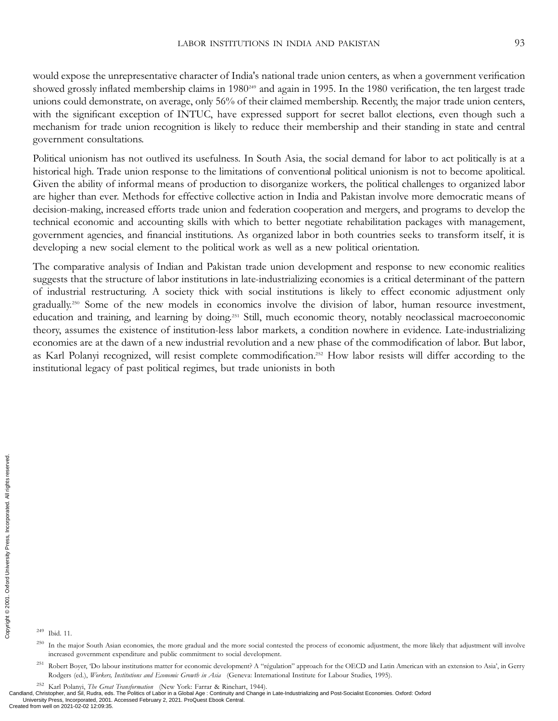would expose the unrepresentative character of India's national trade union centers, as when a government verification showed grossly inflated membership claims in 1980<sup>249</sup> and again in 1995. In the 1980 verification, the ten largest trade unions could demonstrate, on average, only 56% of their claimed membership. Recently, the major trade union centers, with the significant exception of INTUC, have expressed support for secret ballot elections, even though such a mechanism for trade union recognition is likely to reduce their membership and their standing in state and central government consultations.

Political unionism has not outlived its usefulness. In South Asia, the social demand for labor to act politically is at a historical high. Trade union response to the limitations of conventional political unionism is not to become apolitical. Given the ability of informal means of production to disorganize workers, the political challenges to organized labor are higher than ever. Methods for effective collective action in India and Pakistan involve more democratic means of decision-making, increased efforts trade union and federation cooperation and mergers, and programs to develop the technical economic and accounting skills with which to better negotiate rehabilitation packages with management, government agencies, and financial institutions. As organized labor in both countries seeks to transform itself, it is developing a new social element to the political work as well as a new political orientation.

The comparative analysis of Indian and Pakistan trade union development and response to new economic realities suggests that the structure of labor institutions in late-industrializing economies is a critical determinant of the pattern of industrial restructuring. A society thick with social institutions is likely to effect economic adjustment only gradually.250 Some of the new models in economics involve the division of labor, human resource investment, education and training, and learning by doing.<sup>251</sup> Still, much economic theory, notably neoclassical macroeconomic theory, assumes the existence of institution-less labor markets, a condition nowhere in evidence. Late-industrializing economies are at the dawn of a new industrial revolution and a new phase of the commodification of labor. But labor, as Karl Polanyi recognized, will resist complete commodification.252 How labor resists will differ according to the institutional legacy of past political regimes, but trade unionists in both

As a set of the more set of the more set of the more set of the more set of the process of economic adjustment, the more  $\frac{1}{2}$ <br>  $\frac{1}{2}$ <br>  $\frac{1}{2}$ <br>  $\frac{1}{2}$ <br>  $\frac{1}{2}$ <br>  $\frac{1}{2}$ <br>  $\frac{1}{2}$ <br>  $\frac{1}{2}$ <br>  $\frac{1}{2}$ <br>

<sup>&</sup>lt;sup>250</sup> In the major South Asian economies, the more gradual and the more social contested the process of economic adjustment, the more likely that adjustment will involve increased government expenditure and public commitment to social development.

<sup>&</sup>lt;sup>251</sup> Robert Boyer, 'Do labour institutions matter for economic development? A "régulation" approach for the OECD and Latin American with an extension to Asia', in Gerry Rodgers (ed.), *Workers, Institutions and Economic Growth in Asia* (Geneva: International Institute for Labour Studies, 1995).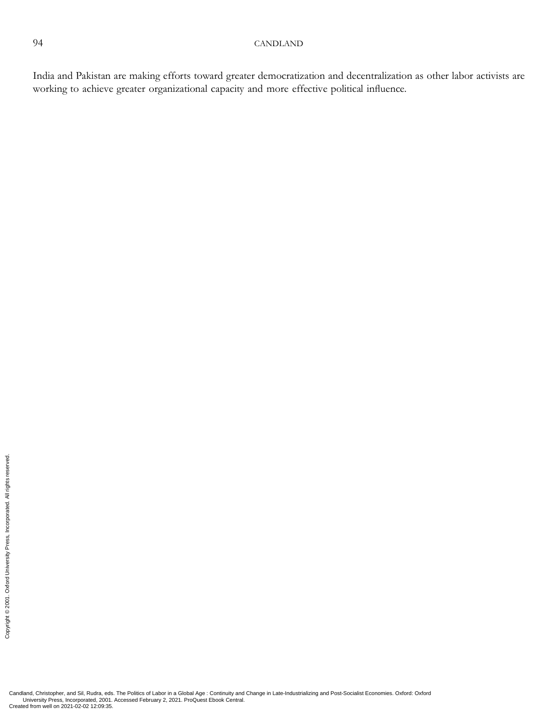India and Pakistan are making efforts toward greater democratization and decentralization as other labor activists are working to achieve greater organizational capacity and more effective political influence.

Candland, Christopher, and Sil, Rudra, eds. The Politics of Labor in a Global Age : Continuity and Change in Late-Industrializing and Post-Socialist Economies. Oxford: Oxford<br>University Press, Incorporated, 2001. Accessed Text and the created from well on 2021-02-02 12:09:35.<br>Candland, Christopher, and Sil, Rudra, eds.<br>Candland, Christopher, and Sil, Rudra, eds.<br>Created from well on 2021-02-02 12:09:35.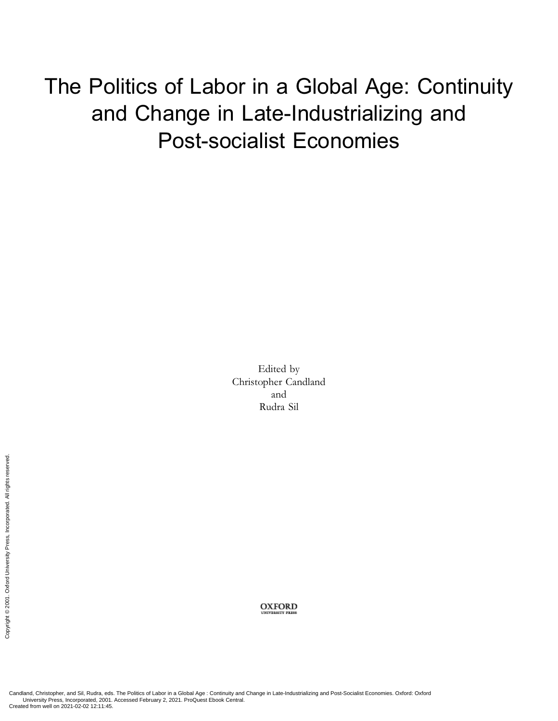# The Politics of Labor in a Global Age: Continuity and Change in Late-Industrializing and Post-socialist Economies

Edited by Christopher Candland and Rudra Sil

**OXFORD**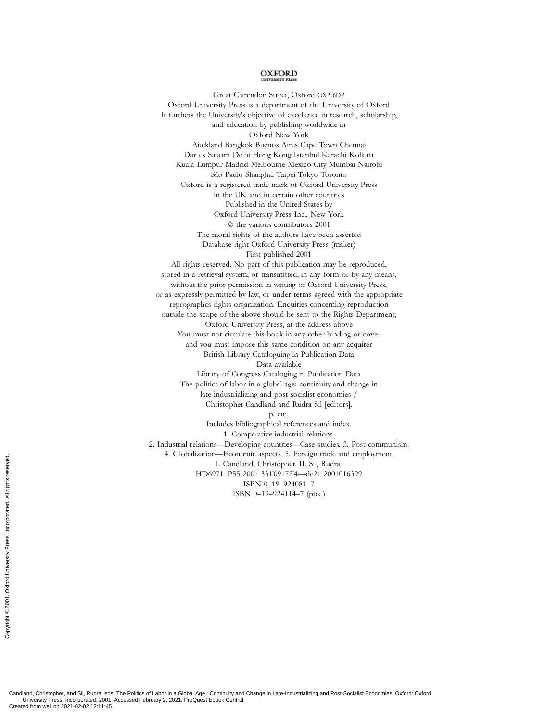#### **OXFORD**

Great Clarendon Street, Oxford OX2 6DP Oxford University Press is a department of the University of Oxford It furthers the University's objective of excellence in research, scholarship, and education by publishing worldwide in Oxford New York Auckland Bangkok Buenos Aires Cape Town Chennai Dar es Salaam Delhi Hong Kong Istanbul Karachi Kolkata Kuala Lumpur Madrid Melbourne Mexico City Mumbai Nairobi São Paulo Shanghai Taipei Tokyo Toronto Oxford is a registered trade mark of Oxford University Press in the UK and in certain other countries Published in the United States by Oxford University Press Inc., New York © the various contributors 2001 The moral rights of the authors have been asserted Database right Oxford University Press (maker) First published 2001 All rights reserved. No part of this publication may be reproduced, stored in a retrieval system, or transmitted, in any form or by any means, without the prior permission in writing of Oxford University Press, or as expressly permitted by law, or under terms agreed with the appropriate reprographcs rights organization. Enquiries concerning reproduction outside the scope of the above should be sent to the Rights Department, Oxford University Press, at the address above You must not circulate this book in any other binding or cover and you must impose this same condition on any acquirer British Library Cataloguing in Publication Data Data available Library of Congress Cataloging in Publication Data The politics of labor in a global age: continuity and change in late-industrializing and post-socialist economies / Christopher Candland and Rudra Sil [editors]. p. cm. Includes bibliographical references and index. 1. Comparative industrial relations. 2. Industrial relations—Developing countries—Case studies. 3. Post-communism. 4. Globalization—Economic aspects. 5. Foreign trade and employment. I. Candland, Christopher. II. Sil, Rudra. HD6971 .P55 2001 331′09172′4—dc21 2001016399 ISBN 0–19–924081–7 ISBN 0–19–924114–7 (pbk.)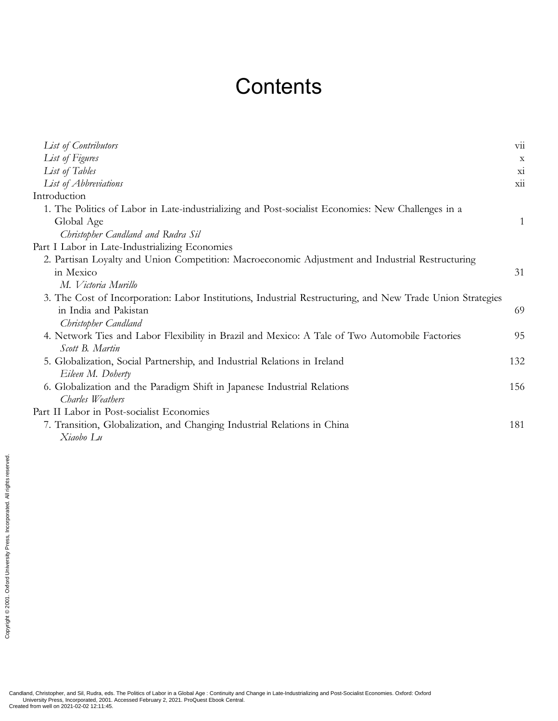# **Contents**

| List of Contributors                                                                                       | VII                      |
|------------------------------------------------------------------------------------------------------------|--------------------------|
| List of Figures                                                                                            | $\mathbf X$              |
| List of Tables                                                                                             | $\overline{\mathbf{xi}}$ |
| List of Abbreviations                                                                                      | xii                      |
| Introduction                                                                                               |                          |
| 1. The Politics of Labor in Late-industrializing and Post-socialist Economies: New Challenges in a         |                          |
| Global Age                                                                                                 | $\mathbf{1}$             |
| Christopher Candland and Rudra Sil                                                                         |                          |
| Part I Labor in Late-Industrializing Economies                                                             |                          |
| 2. Partisan Loyalty and Union Competition: Macroeconomic Adjustment and Industrial Restructuring           |                          |
| in Mexico                                                                                                  | 31                       |
| M. Victoria Murillo                                                                                        |                          |
| 3. The Cost of Incorporation: Labor Institutions, Industrial Restructuring, and New Trade Union Strategies |                          |
| in India and Pakistan                                                                                      | 69                       |
| Christopher Candland                                                                                       |                          |
| 4. Network Ties and Labor Flexibility in Brazil and Mexico: A Tale of Two Automobile Factories             | 95                       |
| Scott B. Martin                                                                                            |                          |
| 5. Globalization, Social Partnership, and Industrial Relations in Ireland<br>Eileen M. Doherty             | 132                      |
| 6. Globalization and the Paradigm Shift in Japanese Industrial Relations                                   | 156                      |
| Charles Weathers                                                                                           |                          |
| Part II Labor in Post-socialist Economies                                                                  |                          |
| 7. Transition, Globalization, and Changing Industrial Relations in China                                   | 181                      |
| Xiaobo Lu                                                                                                  |                          |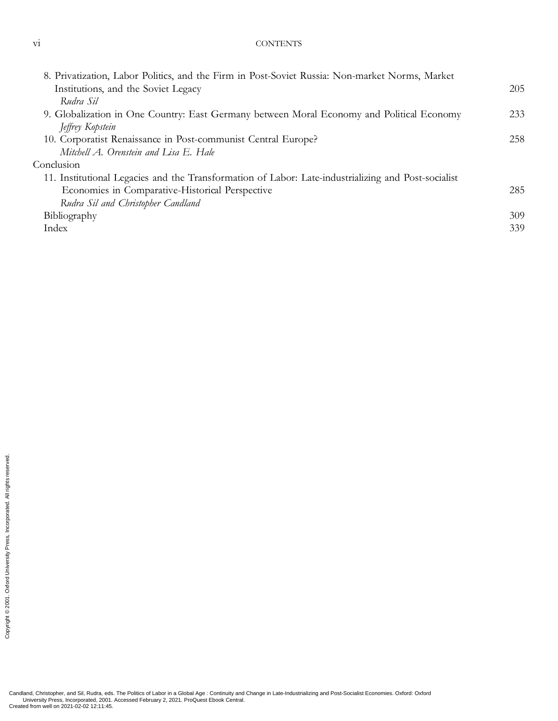#### vi CONTENTS

| 8. Privatization, Labor Politics, and the Firm in Post-Soviet Russia: Non-market Norms, Market      |     |
|-----------------------------------------------------------------------------------------------------|-----|
| Institutions, and the Soviet Legacy                                                                 | 205 |
| Rudra Sil                                                                                           |     |
| 9. Globalization in One Country: East Germany between Moral Economy and Political Economy           | 233 |
| Jeffrey Kopstein                                                                                    |     |
| 10. Corporatist Renaissance in Post-communist Central Europe?                                       | 258 |
| Mitchell A. Orenstein and Lisa E. Hale                                                              |     |
| Conclusion                                                                                          |     |
| 11. Institutional Legacies and the Transformation of Labor: Late-industrializing and Post-socialist |     |
| Economies in Comparative-Historical Perspective                                                     | 285 |
| Rudra Sil and Christopher Candland                                                                  |     |
| Bibliography                                                                                        | 309 |
| Index                                                                                               | 339 |
|                                                                                                     |     |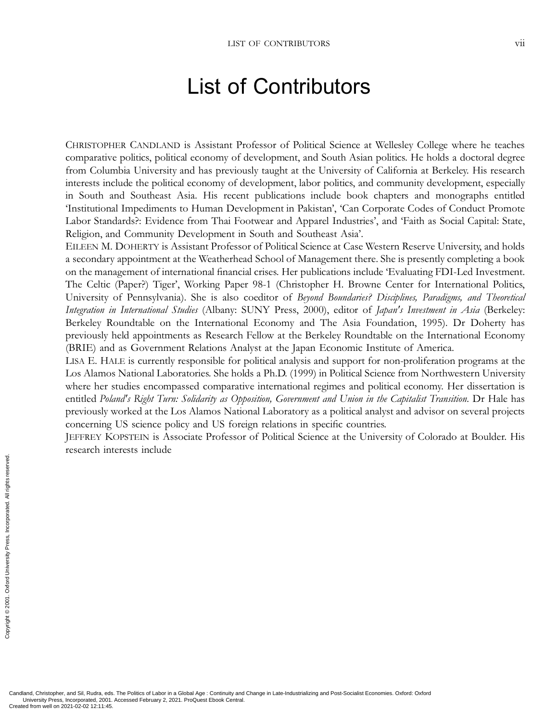# List of Contributors

<span id="page-30-0"></span>CHRISTOPHER CANDLAND is Assistant Professor of Political Science at Wellesley College where he teaches comparative politics, political economy of development, and South Asian politics. He holds a doctoral degree from Columbia University and has previously taught at the University of California at Berkeley. His research interests include the political economy of development, labor politics, and community development, especially in South and Southeast Asia. His recent publications include book chapters and monographs entitled 'Institutional Impediments to Human Development in Pakistan', 'Can Corporate Codes of Conduct Promote Labor Standards?: Evidence from Thai Footwear and Apparel Industries', and 'Faith as Social Capital: State, Religion, and Community Development in South and Southeast Asia'.

EILEEN M. DOHERTY is Assistant Professor of Political Science at Case Western Reserve University, and holds a secondary appointment at the Weatherhead School of Management there. She is presently completing a book on the management of international financial crises. Her publications include 'Evaluating FDI-Led Investment. The Celtic (Paper?) Tiger', Working Paper 98-1 (Christopher H. Browne Center for International Politics, University of Pennsylvania). She is also coeditor of *Beyond Boundaries? Disciplines, Paradigms, and Theoretical Integration in International Studies* (Albany: SUNY Press, 2000), editor of *Japan's Investment in Asia* (Berkeley: Berkeley Roundtable on the International Economy and The Asia Foundation, 1995). Dr Doherty has previously held appointments as Research Fellow at the Berkeley Roundtable on the International Economy (BRIE) and as Government Relations Analyst at the Japan Economic Institute of America.

LISA E. HALE is currently responsible for political analysis and support for non-proliferation programs at the Los Alamos National Laboratories. She holds a Ph.D. (1999) in Political Science from Northwestern University where her studies encompassed comparative international regimes and political economy. Her dissertation is entitled *Poland's Right Turn: Solidarity as Opposition, Government and Union in the Capitalist Transition.* Dr Hale has previously worked at the Los Alamos National Laboratory as a political analyst and advisor on several projects concerning US science policy and US foreign relations in specific countries.

JEFFREY KOPSTEIN is Associate Professor of Political Science at the University of Colorado at Boulder. His research interests include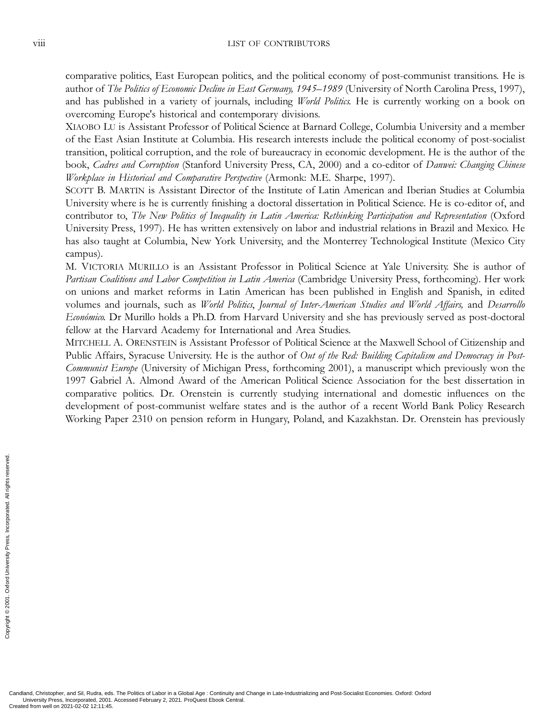comparative politics, East European politics, and the political economy of post-communist transitions. He is author of *The Politics of Economic Decline in East Germany, 1945–1989* (University of North Carolina Press, 1997), and has published in a variety of journals, including *World Politics.* He is currently working on a book on overcoming Europe's historical and contemporary divisions.

XIAOBO LU is Assistant Professor of Political Science at Barnard College, Columbia University and a member of the East Asian Institute at Columbia. His research interests include the political economy of post-socialist transition, political corruption, and the role of bureaucracy in economic development. He is the author of the book, *Cadres and Corruption* (Stanford University Press, CA, 2000) and a co-editor of *Danwei: Changing Chinese Workplace in Historical and Comparative Perspective* (Armonk: M.E. Sharpe, 1997).

SCOTT B. MARTIN is Assistant Director of the Institute of Latin American and Iberian Studies at Columbia University where is he is currently finishing a doctoral dissertation in Political Science. He is co-editor of, and contributor to, *The New Politics of Inequality in Latin America: Rethinking Participation and Representation* (Oxford University Press, 1997). He has written extensively on labor and industrial relations in Brazil and Mexico. He has also taught at Columbia, New York University, and the Monterrey Technological Institute (Mexico City campus).

M. VICTORIA MURILLO is an Assistant Professor in Political Science at Yale University. She is author of *Partisan Coalitions and Labor Competition in Latin America* (Cambridge University Press, forthcoming). Her work on unions and market reforms in Latin American has been published in English and Spanish, in edited volumes and journals, such as *World Politics*, *Journal of Inter-American Studies and World Affairs,* and *Desarrollo Económico.* Dr Murillo holds a Ph.D. from Harvard University and she has previously served as post-doctoral fellow at the Harvard Academy for International and Area Studies.

MITCHELL A. ORENSTEIN is Assistant Professor of Political Science at the Maxwell School of Citizenship and Public Affairs, Syracuse University. He is the author of *Out of the Red: Building Capitalism and Democracy in Post-Communist Europe* (University of Michigan Press, forthcoming 2001), a manuscript which previously won the 1997 Gabriel A. Almond Award of the American Political Science Association for the best dissertation in comparative politics. Dr. Orenstein is currently studying international and domestic influences on the development of post-communist welfare states and is the author of a recent World Bank Policy Research Working Paper 2310 on pension reform in Hungary, Poland, and Kazakhstan. Dr. Orenstein has previously